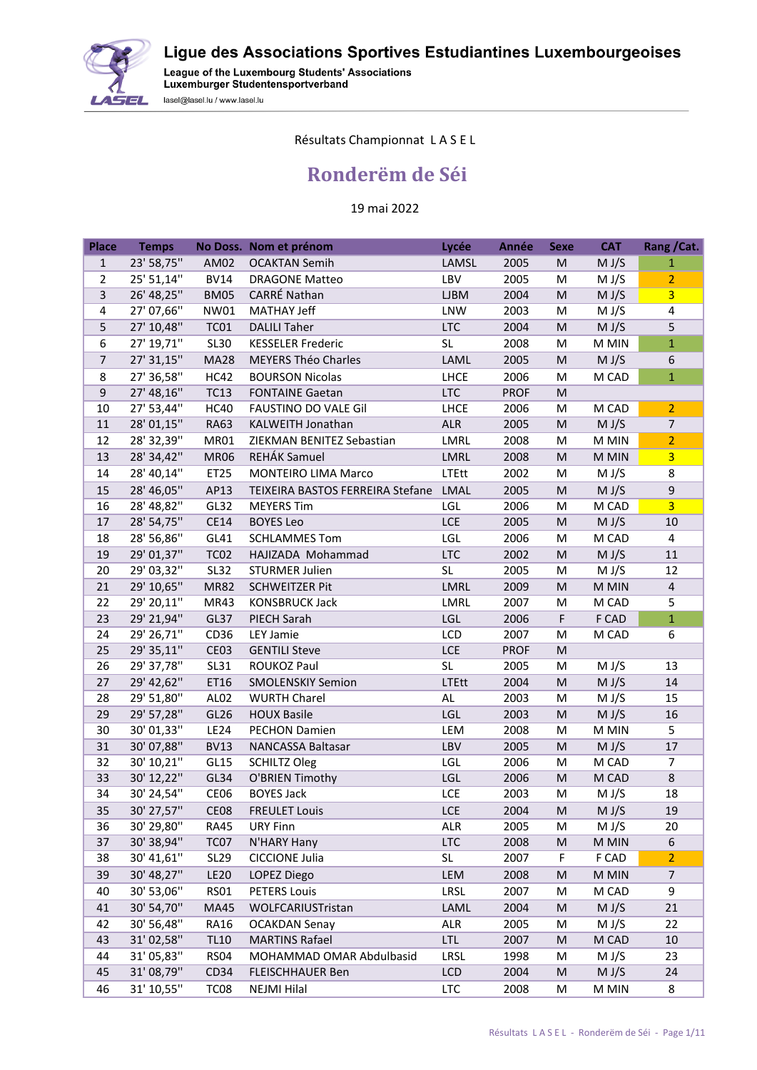Ligue des Associations Sportives Estudiantines Luxembourgeoises



League of the Luxembourg Students' Associations<br>Luxemburger Studentensportverband lasel@lasel.lu / www.lasel.lu

## Résultats Championnat L A S E L

## **Ronderëm de Séi**

## 19 mai 2022

| <b>Place</b>   | <b>Temps</b>            |                  | No Doss. Nom et prénom                 | Lycée       | <b>Année</b> | <b>Sexe</b>                                                                                                | <b>CAT</b>     | Rang / Cat.    |
|----------------|-------------------------|------------------|----------------------------------------|-------------|--------------|------------------------------------------------------------------------------------------------------------|----------------|----------------|
| $\mathbf{1}$   | 23' 58,75"              | AM02             | <b>OCAKTAN Semih</b>                   | LAMSL       | 2005         | M                                                                                                          | M J/S          | $\mathbf{1}$   |
| $\overline{2}$ | 25' 51,14"              | <b>BV14</b>      | <b>DRAGONE Matteo</b>                  | LBV         | 2005         | M                                                                                                          | M J/S          | $\overline{2}$ |
| 3              | 26' 48,25"              | <b>BM05</b>      | CARRÉ Nathan                           | <b>LJBM</b> | 2004         | M                                                                                                          | M J/S          | 3 <sup>1</sup> |
| 4              | 27' 07,66"              | NW01             | <b>MATHAY Jeff</b>                     | LNW         | 2003         | M                                                                                                          | M J/S          | $\overline{4}$ |
| 5              | 27' 10,48"              | <b>TC01</b>      | <b>DALILI Taher</b>                    | <b>LTC</b>  | 2004         | M                                                                                                          | M J/S          | 5              |
| 6              | 27' 19,71"              | <b>SL30</b>      | <b>KESSELER Frederic</b>               | <b>SL</b>   | 2008         | M                                                                                                          | M MIN          | $\overline{1}$ |
| $\overline{7}$ | 27' 31,15"              | <b>MA28</b>      | <b>MEYERS Théo Charles</b>             | LAML        | 2005         | ${\sf M}$                                                                                                  | M J/S          | 6              |
| 8              | 27' 36,58"              | <b>HC42</b>      | <b>BOURSON Nicolas</b>                 | <b>LHCE</b> | 2006         | M                                                                                                          | M CAD          | $\overline{1}$ |
| $\mathsf g$    | 27' 48,16"              | <b>TC13</b>      | <b>FONTAINE Gaetan</b>                 | <b>LTC</b>  | <b>PROF</b>  | M                                                                                                          |                |                |
| 10             | 27' 53,44"              | <b>HC40</b>      | FAUSTINO DO VALE Gil                   | LHCE        | 2006         | M                                                                                                          | M CAD          | $\overline{2}$ |
| 11             | 28' 01,15"              | <b>RA63</b>      | KALWEITH Jonathan                      | <b>ALR</b>  | 2005         | M                                                                                                          | M J/S          | $\overline{7}$ |
| 12             | 28' 32,39"              | MR01             | ZIEKMAN BENITEZ Sebastian              | LMRL        | 2008         | M                                                                                                          | M MIN          | $\overline{2}$ |
| 13             | 28' 34,42"              | <b>MR06</b>      | REHÁK Samuel                           | LMRL        | 2008         | M                                                                                                          | M MIN          | 3 <sup>2</sup> |
| 14             | 28' 40,14"              | ET25             | <b>MONTEIRO LIMA Marco</b>             | LTEtt       | 2002         | M                                                                                                          | M J/S          | 8              |
| 15             | 28' 46,05"              | AP13             | TEIXEIRA BASTOS FERREIRA Stefane LMAL  |             | 2005         | ${\sf M}$                                                                                                  | M J/S          | $\mathsf 9$    |
| 16             | 28' 48,82"              | GL32             | <b>MEYERS Tim</b>                      | LGL         | 2006         | M                                                                                                          | M CAD          | $\overline{3}$ |
| 17             | 28' 54,75"              | CE14             | <b>BOYES Leo</b>                       | LCE         | 2005         | M                                                                                                          | M J/S          | $10\,$         |
| 18             | 28' 56,86"              | GL41             | <b>SCHLAMMES Tom</b>                   | LGL         | 2006         | M                                                                                                          | M CAD          | $\overline{4}$ |
| 19             | 29' 01,37"              | <b>TC02</b>      | HAJIZADA Mohammad                      | <b>LTC</b>  | 2002         | M                                                                                                          | M J/S          | 11             |
| 20             | 29' 03,32"              | <b>SL32</b>      | <b>STURMER Julien</b>                  | <b>SL</b>   | 2005         | M                                                                                                          | M J/S          | 12             |
| 21             | 29' 10,65"              | <b>MR82</b>      | <b>SCHWEITZER Pit</b>                  | LMRL        | 2009         | $\mathsf{M}% _{T}=\mathsf{M}_{T}\!\left( a,b\right) ,\ \mathsf{M}_{T}=\mathsf{M}_{T}\!\left( a,b\right) ,$ | M MIN          | $\overline{4}$ |
| 22             | 29' 20,11"              | MR43             | <b>KONSBRUCK Jack</b>                  | LMRL        | 2007         | M                                                                                                          | M CAD          | 5              |
| 23             | 29' 21,94"              | GL37             | PIECH Sarah                            | LGL         | 2006         | F                                                                                                          | F CAD          | $\overline{1}$ |
| 24             | 29' 26,71"              | CD36             | LEY Jamie                              | LCD         | 2007         | M                                                                                                          | M CAD          | 6              |
| 25             | 29' 35,11"              | CE03             | <b>GENTILI Steve</b>                   | LCE         | <b>PROF</b>  | ${\sf M}$                                                                                                  |                |                |
| 26             | 29' 37,78"              | <b>SL31</b>      | ROUKOZ Paul                            | <b>SL</b>   | 2005         | M                                                                                                          | M J/S          | 13             |
| 27             | 29' 42,62"              | ET16             | <b>SMOLENSKIY Semion</b>               | LTEtt       | 2004         | $\mathsf{M}% _{T}=\mathsf{M}_{T}\!\left( a,b\right) ,\ \mathsf{M}_{T}=\mathsf{M}_{T}\!\left( a,b\right) ,$ | M J/S          | 14             |
| 28             | 29' 51,80"              | AL <sub>02</sub> | <b>WURTH Charel</b>                    | AL          | 2003         | M                                                                                                          | M J/S          | 15             |
| 29             | 29' 57,28"              | GL26             | <b>HOUX Basile</b>                     | LGL         | 2003         | $\mathsf{M}% _{T}=\mathsf{M}_{T}\!\left( a,b\right) ,\ \mathsf{M}_{T}=\mathsf{M}_{T}\!\left( a,b\right) ,$ | M J/S          | 16             |
| 30             | 30' 01,33"              | <b>LE24</b>      | <b>PECHON Damien</b>                   | LEM         | 2008         | M                                                                                                          | M MIN          | 5<br>17        |
| 31<br>32       | 30'07,88"<br>30' 10,21" | <b>BV13</b>      | NANCASSA Baltasar                      | LBV<br>LGL  | 2005<br>2006 | M<br>M                                                                                                     | M J/S<br>M CAD | $\overline{7}$ |
| 33             | 30' 12,22"              | GL15<br>GL34     | <b>SCHILTZ Oleg</b><br>O'BRIEN Timothy | LGL         | 2006         | M                                                                                                          | M CAD          | 8              |
| 34             | 30' 24,54"              | <b>CE06</b>      | <b>BOYES Jack</b>                      | LCE         | 2003         | M                                                                                                          | M J/S          | 18             |
| 35             | 30' 27,57"              | CE08             | <b>FREULET Louis</b>                   | LCE         | 2004         | ${\sf M}$                                                                                                  | M J/S          | 19             |
| 36             | 30' 29,80"              | <b>RA45</b>      | <b>URY Finn</b>                        | <b>ALR</b>  | 2005         | M                                                                                                          | M J/S          | 20             |
| 37             | 30' 38,94"              | TC07             | N'HARY Hany                            | <b>LTC</b>  | 2008         | ${\sf M}$                                                                                                  | M MIN          | 6              |
| 38             | 30' 41,61"              | <b>SL29</b>      | <b>CICCIONE Julia</b>                  | SL          | 2007         | F                                                                                                          | F CAD          | $\overline{2}$ |
| 39             | 30' 48,27"              | <b>LE20</b>      | LOPEZ Diego                            | LEM         | 2008         | M                                                                                                          | M MIN          | $\overline{7}$ |
| 40             | 30' 53,06"              | <b>RS01</b>      | <b>PETERS Louis</b>                    | LRSL        | 2007         | M                                                                                                          | M CAD          | 9              |
| 41             | 30' 54,70"              | MA45             | WOLFCARIUSTristan                      | LAML        | 2004         | M                                                                                                          | M J/S          | 21             |
| 42             | 30' 56,48"              | <b>RA16</b>      | <b>OCAKDAN Senay</b>                   | ALR         | 2005         | м                                                                                                          | M J/S          | 22             |
| 43             | 31'02,58"               | <b>TL10</b>      | <b>MARTINS Rafael</b>                  | <b>LTL</b>  | 2007         | M                                                                                                          | M CAD          | 10             |
| 44             | 31' 05,83"              | <b>RS04</b>      | MOHAMMAD OMAR Abdulbasid               | LRSL        | 1998         | M                                                                                                          | M J/S          | 23             |
| 45             | 31'08,79"               | CD34             | <b>FLEISCHHAUER Ben</b>                | LCD         | 2004         | M                                                                                                          | M J/S          | 24             |
| 46             | 31' 10,55"              | TC <sub>08</sub> | NEJMI Hilal                            | <b>LTC</b>  | 2008         | M                                                                                                          | M MIN          | 8              |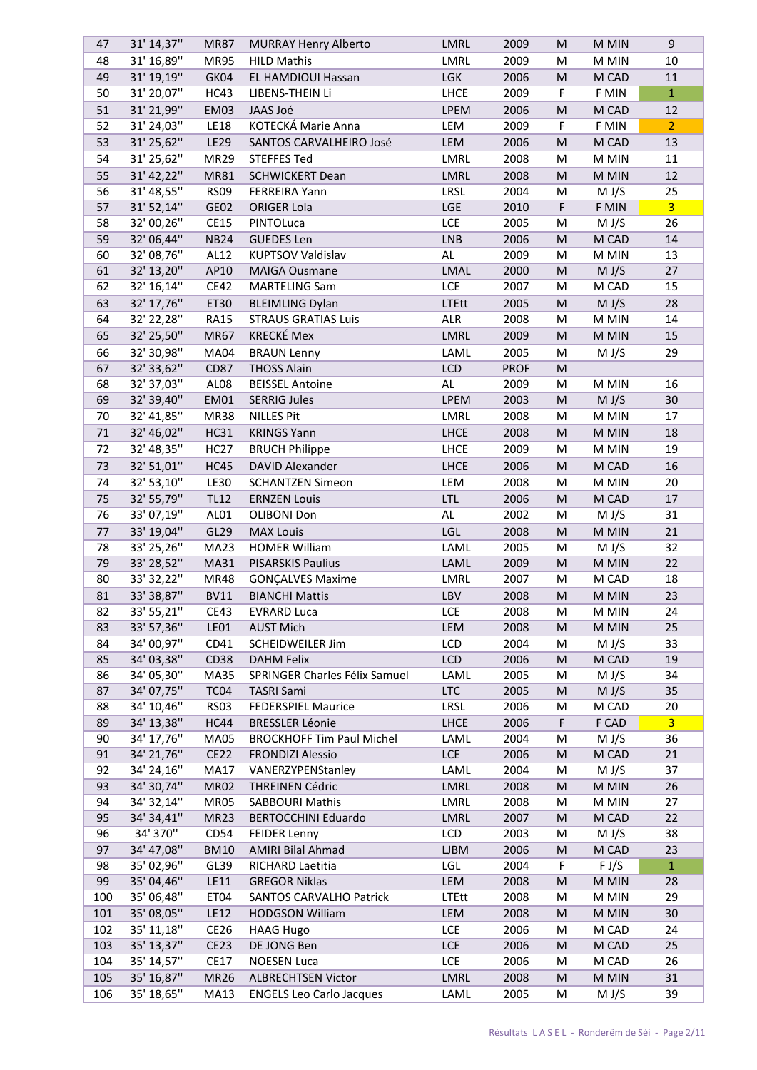| 47      | 31' 14,37"               | <b>MR87</b>      | <b>MURRAY Henry Alberto</b>      | LMRL         | 2009        | M                                                                                                          | M MIN | 9              |
|---------|--------------------------|------------------|----------------------------------|--------------|-------------|------------------------------------------------------------------------------------------------------------|-------|----------------|
| 48      | 31' 16,89"               | <b>MR95</b>      | <b>HILD Mathis</b>               | LMRL         | 2009        | M                                                                                                          | M MIN | 10             |
| 49      | 31' 19,19"               | GK04             | EL HAMDIOUI Hassan               | LGK          | 2006        | M                                                                                                          | M CAD | 11             |
| 50      | 31' 20,07"               | HC43             | LIBENS-THEIN Li                  | <b>LHCE</b>  | 2009        | F                                                                                                          | F MIN | $\mathbf{1}$   |
| 51      | 31' 21,99"               | EM03             | JAAS Joé                         | LPEM         | 2006        | ${\sf M}$                                                                                                  | M CAD | 12             |
| 52      | 31' 24,03"               | <b>LE18</b>      | KOTECKÁ Marie Anna               | LEM          | 2009        | F                                                                                                          | F MIN | 2 <sup>1</sup> |
| 53      | 31' 25,62"               | LE29             | SANTOS CARVALHEIRO José          | LEM          | 2006        | M                                                                                                          | M CAD | 13             |
|         |                          |                  |                                  |              |             |                                                                                                            |       |                |
| 54      | 31' 25,62"               | <b>MR29</b>      | <b>STEFFES Ted</b>               | LMRL         | 2008        | M                                                                                                          | M MIN | 11             |
| 55      | 31' 42,22"               | MR81             | <b>SCHWICKERT Dean</b>           | LMRL         | 2008        | $\mathsf{M}% _{T}=\mathsf{M}_{T}\!\left( a,b\right) ,\ \mathsf{M}_{T}=\mathsf{M}_{T}\!\left( a,b\right) ,$ | M MIN | 12             |
| 56      | 31' 48,55"               | <b>RS09</b>      | <b>FERREIRA Yann</b>             | LRSL         | 2004        | M                                                                                                          | M J/S | 25             |
| 57      | 31' 52,14"               | GE02             | <b>ORIGER Lola</b>               | <b>LGE</b>   | 2010        | F                                                                                                          | F MIN | 3 <sup>7</sup> |
| 58      | 32' 00,26"               | <b>CE15</b>      | PINTOLuca                        | LCE          | 2005        | M                                                                                                          | M J/S | 26             |
| 59      | 32' 06,44"               | <b>NB24</b>      | <b>GUEDES Len</b>                | <b>LNB</b>   | 2006        | M                                                                                                          | M CAD | 14             |
| 60      | 32' 08,76"               | AL12             | <b>KUPTSOV Valdislav</b>         | AL           | 2009        | M                                                                                                          | M MIN | 13             |
| 61      | 32' 13,20"               | AP10             | <b>MAIGA Ousmane</b>             | LMAL         | 2000        | ${\sf M}$                                                                                                  | M J/S | 27             |
| 62      | 32' 16,14"               | <b>CE42</b>      | <b>MARTELING Sam</b>             | LCE          | 2007        | M                                                                                                          | M CAD | 15             |
| 63      | 32' 17,76"               | ET30             | <b>BLEIMLING Dylan</b>           | <b>LTEtt</b> | 2005        | ${\sf M}$                                                                                                  | M J/S | 28             |
| 64      | 32' 22,28"               | <b>RA15</b>      | <b>STRAUS GRATIAS Luis</b>       | ALR          | 2008        | M                                                                                                          | M MIN | 14             |
| 65      | 32' 25,50"               | <b>MR67</b>      | <b>KRECKÉ Mex</b>                | LMRL         | 2009        | M                                                                                                          | M MIN | 15             |
| 66      | 32' 30,98"               | <b>MA04</b>      | <b>BRAUN Lenny</b>               | LAML         | 2005        | M                                                                                                          | M J/S | 29             |
| 67      | 32' 33,62"               | <b>CD87</b>      | <b>THOSS Alain</b>               | LCD          | <b>PROF</b> | M                                                                                                          |       |                |
|         |                          |                  | <b>BEISSEL Antoine</b>           | AL           |             |                                                                                                            | M MIN |                |
| 68      | 32' 37,03"               | AL08             |                                  |              | 2009        | M                                                                                                          |       | 16             |
| 69      | 32' 39,40"               | EM01             | <b>SERRIG Jules</b>              | LPEM         | 2003        | M                                                                                                          | M J/S | 30             |
| 70      | 32' 41,85"               | <b>MR38</b>      | <b>NILLES Pit</b>                | LMRL         | 2008        | M                                                                                                          | M MIN | 17             |
| 71      | 32' 46,02"               | <b>HC31</b>      | <b>KRINGS Yann</b>               | <b>LHCE</b>  | 2008        | M                                                                                                          | M MIN | 18             |
| 72      | 32' 48,35"               | <b>HC27</b>      | <b>BRUCH Philippe</b>            | LHCE         | 2009        | M                                                                                                          | M MIN | 19             |
| 73      | 32' 51,01"               | <b>HC45</b>      | <b>DAVID Alexander</b>           | <b>LHCE</b>  | 2006        | M                                                                                                          | M CAD | 16             |
| 74      | 32' 53,10"               | <b>LE30</b>      | <b>SCHANTZEN Simeon</b>          | LEM          | 2008        | M                                                                                                          | M MIN | 20             |
| 75      | 32' 55,79"               | <b>TL12</b>      | <b>ERNZEN Louis</b>              | <b>LTL</b>   | 2006        | M                                                                                                          | M CAD | 17             |
| 76      | 33'07,19"                | AL01             | OLIBONI Don                      | AL           | 2002        | M                                                                                                          | M J/S | 31             |
| $77 \,$ | 33' 19,04"               | GL <sub>29</sub> | <b>MAX Louis</b>                 | <b>LGL</b>   | 2008        | M                                                                                                          | M MIN | 21             |
| 78      | 33' 25,26"               | <b>MA23</b>      | <b>HOMER William</b>             | LAML         | 2005        | M                                                                                                          | M J/S | 32             |
| 79      | 33' 28,52"               | MA31             | <b>PISARSKIS Paulius</b>         | LAML         | 2009        | ${\sf M}$                                                                                                  | M MIN | 22             |
| 80      | 33' 32, 22"              | <b>MR48</b>      | <b>GONÇALVES Maxime</b>          | LMRL         | 2007        | M                                                                                                          | M CAD | 18             |
| 81      | 33' 38,87"               | <b>BV11</b>      | <b>BIANCHI Mattis</b>            | LBV          | 2008        | M                                                                                                          |       | 23             |
|         |                          |                  |                                  |              |             |                                                                                                            | M MIN |                |
| 82      | 33' 55,21"               | CE43             | <b>EVRARD Luca</b>               | LCE          | 2008        | M                                                                                                          | M MIN | 24             |
| 83      | 33' 57,36"               | <b>LE01</b>      | <b>AUST Mich</b>                 | LEM          | 2008        | M                                                                                                          | M MIN | 25             |
| 84      | 34' 00,97"               | CD41             | <b>SCHEIDWEILER Jim</b>          | LCD          | 2004        | M                                                                                                          | M J/S | 33             |
| 85      | 34' 03,38"               | CD38             | <b>DAHM Felix</b>                | <b>LCD</b>   | 2006        | ${\sf M}$                                                                                                  | M CAD | 19             |
| 86      | 34' 05,30"               | <b>MA35</b>      | SPRINGER Charles Félix Samuel    | LAML         | 2005        | M                                                                                                          | M J/S | 34             |
| 87      | 34' 07,75"               | TC04             | <b>TASRI Sami</b>                | <b>LTC</b>   | 2005        | ${\sf M}$                                                                                                  | M J/S | 35             |
| 88      | 34' 10,46"               | RS03             | <b>FEDERSPIEL Maurice</b>        | LRSL         | 2006        | M                                                                                                          | M CAD | 20             |
| 89      | 34' 13,38"               | HC44             | <b>BRESSLER Léonie</b>           | <b>LHCE</b>  | 2006        | F                                                                                                          | F CAD | 3 <sup>1</sup> |
| 90      | 34' 17,76"               | <b>MA05</b>      | <b>BROCKHOFF Tim Paul Michel</b> | LAML         | 2004        | M                                                                                                          | M J/S | 36             |
| 91      | 34' 21,76"               | <b>CE22</b>      | <b>FRONDIZI Alessio</b>          | LCE          | 2006        | ${\sf M}$                                                                                                  | M CAD | 21             |
| 92      | 34' 24,16"               | <b>MA17</b>      | VANERZYPENStanley                | LAML         | 2004        | M                                                                                                          | M J/S | 37             |
| 93      | 34' 30,74"               | <b>MR02</b>      | <b>THREINEN Cédric</b>           | LMRL         | 2008        | M                                                                                                          | M MIN | 26             |
| 94      | 34' 32,14"               | MR05             | <b>SABBOURI Mathis</b>           | LMRL         | 2008        | M                                                                                                          | M MIN | 27             |
| 95      | 34' 34,41"               | MR <sub>23</sub> | <b>BERTOCCHINI Eduardo</b>       | LMRL         | 2007        | M                                                                                                          | M CAD | 22             |
| 96      | 34' 370"                 | CD54             | <b>FEIDER Lenny</b>              | LCD          | 2003        | M                                                                                                          | M J/S | 38             |
| 97      | 34' 47,08"               | <b>BM10</b>      | <b>AMIRI Bilal Ahmad</b>         | <b>LJBM</b>  | 2006        | ${\sf M}$                                                                                                  | M CAD | 23             |
| 98      | 35' 02,96"               | GL39             | RICHARD Laetitia                 | LGL          | 2004        | F                                                                                                          | F J/S | $\mathbf{1}$   |
| 99      | 35' 04,46"               | LE11             | <b>GREGOR Niklas</b>             | LEM          | 2008        | ${\sf M}$                                                                                                  | M MIN | 28             |
|         | 35' 06,48"               |                  |                                  |              |             |                                                                                                            |       |                |
| 100     |                          | ET04             | <b>SANTOS CARVALHO Patrick</b>   | LTEtt        | 2008        | M                                                                                                          | M MIN | 29             |
| 101     | 35' 08,05"               | <b>LE12</b>      | <b>HODGSON William</b>           | LEM          | 2008        | M                                                                                                          | M MIN | 30             |
|         |                          |                  |                                  |              |             |                                                                                                            |       |                |
| 102     | 35' 11,18"               | CE <sub>26</sub> | <b>HAAG Hugo</b>                 | LCE          | 2006        | M                                                                                                          | M CAD | 24             |
| 103     | 35' 13,37"               | <b>CE23</b>      | DE JONG Ben                      | LCE          | 2006        | ${\sf M}$                                                                                                  | M CAD | 25             |
| 104     | 35' 14,57"               | <b>CE17</b>      | <b>NOESEN Luca</b>               | LCE          | 2006        | M                                                                                                          | M CAD | 26             |
| 105     | 35' 16,87"<br>35' 18,65" | <b>MR26</b>      | <b>ALBRECHTSEN Victor</b>        | LMRL         | 2008        | M                                                                                                          | M MIN | 31             |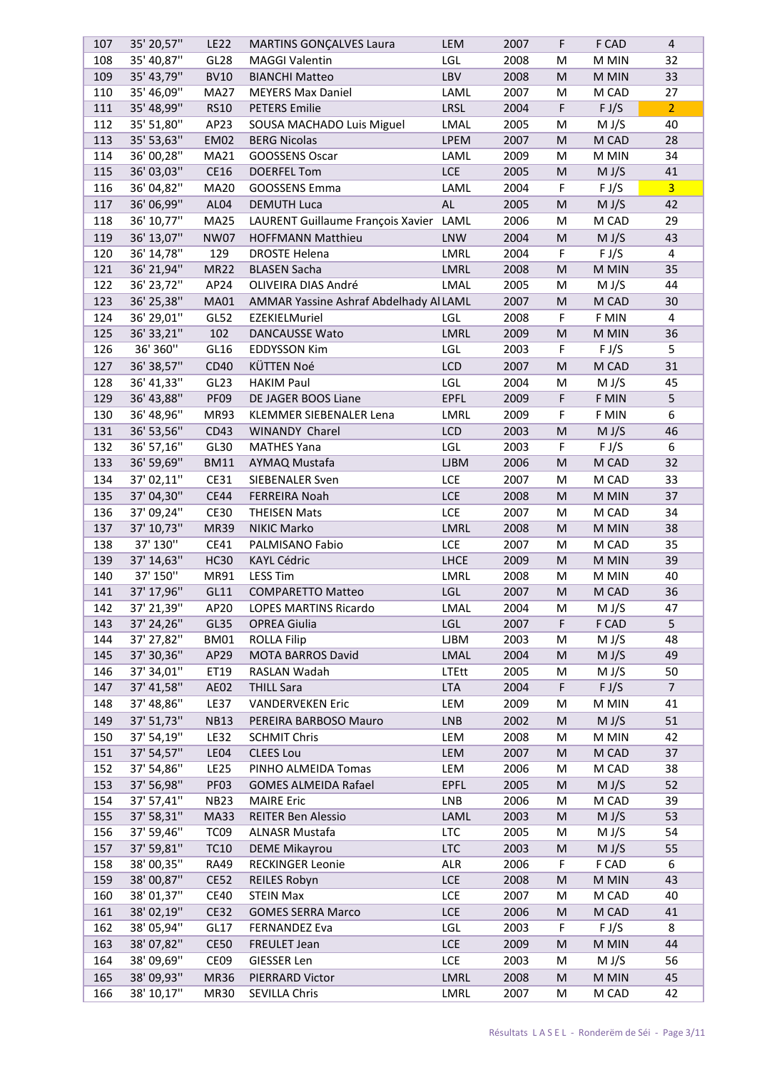| 107 | 35' 20,57"  | <b>LE22</b>      | <b>MARTINS GONÇALVES Laura</b>         | LEM         | 2007 | F           | F CAD | $\overline{4}$ |
|-----|-------------|------------------|----------------------------------------|-------------|------|-------------|-------|----------------|
| 108 | 35' 40,87"  | GL28             | <b>MAGGI Valentin</b>                  | LGL         | 2008 | M           | M MIN | 32             |
| 109 | 35' 43,79"  | <b>BV10</b>      | <b>BIANCHI Matteo</b>                  | LBV         | 2008 | M           | M MIN | 33             |
| 110 | 35' 46,09"  | <b>MA27</b>      | <b>MEYERS Max Daniel</b>               | LAML        | 2007 | M           | M CAD | 27             |
| 111 | 35' 48,99"  | <b>RS10</b>      | <b>PETERS Emilie</b>                   | <b>LRSL</b> | 2004 | F           | F J/S | 2 <sup>7</sup> |
| 112 | 35' 51,80"  | AP23             | SOUSA MACHADO Luis Miguel              | LMAL        | 2005 | M           | M J/S | 40             |
| 113 | 35' 53,63"  | <b>EM02</b>      | <b>BERG Nicolas</b>                    | <b>LPEM</b> | 2007 | M           | M CAD | 28             |
| 114 | 36' 00,28"  | MA21             | <b>GOOSSENS Oscar</b>                  | LAML        | 2009 | M           | M MIN | 34             |
| 115 | 36' 03,03"  | CE16             | <b>DOERFEL Tom</b>                     | <b>LCE</b>  | 2005 | M           | M J/S | 41             |
| 116 | 36' 04,82"  | <b>MA20</b>      | GOOSSENS Emma                          | LAML        | 2004 | $\mathsf F$ | F J/S | $\overline{3}$ |
|     |             |                  |                                        |             |      |             |       |                |
| 117 | 36' 06,99"  | AL04             | <b>DEMUTH Luca</b>                     | AL          | 2005 | M           | M J/S | 42             |
| 118 | 36' 10,77"  | <b>MA25</b>      | LAURENT Guillaume François Xavier LAML |             | 2006 | M           | M CAD | 29             |
| 119 | 36' 13,07"  | <b>NW07</b>      | <b>HOFFMANN Matthieu</b>               | <b>LNW</b>  | 2004 | M           | M J/S | 43             |
| 120 | 36' 14,78"  | 129              | <b>DROSTE Helena</b>                   | <b>LMRL</b> | 2004 | F           | F J/S | 4              |
| 121 | 36' 21,94"  | <b>MR22</b>      | <b>BLASEN Sacha</b>                    | LMRL        | 2008 | M           | M MIN | 35             |
| 122 | 36' 23,72"  | AP24             | OLIVEIRA DIAS André                    | LMAL        | 2005 | M           | M J/S | 44             |
| 123 | 36' 25,38"  | <b>MA01</b>      | AMMAR Yassine Ashraf Abdelhady Al LAML |             | 2007 | M           | M CAD | 30             |
| 124 | 36' 29,01"  | GL52             | EZEKIELMuriel                          | LGL         | 2008 | F           | F MIN | $\overline{4}$ |
| 125 | 36' 33, 21" | 102              | <b>DANCAUSSE Wato</b>                  | <b>LMRL</b> | 2009 | M           | M MIN | 36             |
| 126 | 36' 360"    | GL16             | <b>EDDYSSON Kim</b>                    | LGL         | 2003 | F           | F J/S | 5              |
| 127 | 36' 38,57"  | CD40             | KÜTTEN Noé                             | LCD         | 2007 | ${\sf M}$   | M CAD | 31             |
|     |             |                  |                                        |             |      |             |       |                |
| 128 | 36' 41,33"  | GL <sub>23</sub> | <b>HAKIM Paul</b>                      | LGL         | 2004 | M           | M J/S | 45             |
| 129 | 36' 43,88"  | PF09             | DE JAGER BOOS Liane                    | <b>EPFL</b> | 2009 | F           | F MIN | 5              |
| 130 | 36' 48,96"  | <b>MR93</b>      | KLEMMER SIEBENALER Lena                | LMRL        | 2009 | F           | F MIN | 6              |
| 131 | 36' 53,56"  | CD43             | WINANDY Charel                         | <b>LCD</b>  | 2003 | M           | M J/S | 46             |
| 132 | 36' 57,16"  | GL30             | <b>MATHES Yana</b>                     | LGL         | 2003 | F           | F J/S | 6              |
| 133 | 36' 59,69"  | <b>BM11</b>      | AYMAQ Mustafa                          | <b>LJBM</b> | 2006 | M           | M CAD | 32             |
| 134 | 37' 02,11"  | CE31             | SIEBENALER Sven                        | LCE         | 2007 | M           | M CAD | 33             |
| 135 | 37' 04,30"  | <b>CE44</b>      | <b>FERREIRA Noah</b>                   | LCE         | 2008 | M           | M MIN | 37             |
| 136 | 37' 09,24"  | <b>CE30</b>      | <b>THEISEN Mats</b>                    | LCE         | 2007 | M           | M CAD | 34             |
| 137 | 37' 10,73"  | <b>MR39</b>      | NIKIC Marko                            | LMRL        | 2008 | M           | M MIN | 38             |
| 138 | 37' 130"    | CE41             | PALMISANO Fabio                        | LCE         | 2007 | M           | M CAD | 35             |
| 139 | 37' 14,63"  | <b>HC30</b>      | <b>KAYL Cédric</b>                     | <b>LHCE</b> | 2009 | M           | M MIN | 39             |
| 140 | 37' 150"    | MR91             | <b>LESS Tim</b>                        | LMRL        | 2008 | M           | M MIN | 40             |
| 141 | 37' 17,96"  | GL11             | <b>COMPARETTO Matteo</b>               | LGL         | 2007 | M           | M CAD | 36             |
| 142 | 37' 21,39"  | AP20             | <b>LOPES MARTINS Ricardo</b>           | LMAL        | 2004 | M           | M J/S | 47             |
| 143 | 37' 24,26"  | GL35             | <b>OPREA Giulia</b>                    | LGL         | 2007 | F           | F CAD | 5              |
| 144 | 37' 27,82"  | <b>BM01</b>      | <b>ROLLA Filip</b>                     | <b>LJBM</b> | 2003 |             | M J/S | 48             |
|     |             |                  |                                        |             |      | M           |       |                |
| 145 | 37' 30,36"  | AP29             | <b>MOTA BARROS David</b>               | LMAL        | 2004 | M           | M J/S | 49             |
| 146 | 37' 34,01"  | ET19             | RASLAN Wadah                           | LTEtt       | 2005 | M           | M J/S | 50             |
| 147 | 37' 41,58"  | AE02             | <b>THILL Sara</b>                      | <b>LTA</b>  | 2004 | F           | F J/S | $\overline{7}$ |
| 148 | 37' 48,86"  | LE37             | <b>VANDERVEKEN Eric</b>                | LEM         | 2009 | М           | M MIN | 41             |
| 149 | 37' 51,73"  | <b>NB13</b>      | PEREIRA BARBOSO Mauro                  | <b>LNB</b>  | 2002 | M           | M J/S | 51             |
| 150 | 37' 54,19"  | <b>LE32</b>      | <b>SCHMIT Chris</b>                    | LEM         | 2008 | M           | M MIN | 42             |
| 151 | 37' 54,57"  | LE04             | <b>CLEES Lou</b>                       | LEM         | 2007 | M           | M CAD | 37             |
| 152 | 37' 54,86"  | <b>LE25</b>      | PINHO ALMEIDA Tomas                    | LEM         | 2006 | M           | M CAD | 38             |
| 153 | 37' 56,98"  | PF03             | <b>GOMES ALMEIDA Rafael</b>            | <b>EPFL</b> | 2005 | M           | M J/S | 52             |
| 154 | 37' 57,41"  | <b>NB23</b>      | <b>MAIRE Eric</b>                      | <b>LNB</b>  | 2006 | M           | M CAD | 39             |
| 155 | 37' 58,31"  | MA33             | <b>REITER Ben Alessio</b>              | LAML        | 2003 | ${\sf M}$   | M J/S | 53             |
| 156 | 37' 59,46"  | TC <sub>09</sub> | ALNASR Mustafa                         | <b>LTC</b>  | 2005 | M           | M J/S | 54             |
| 157 | 37' 59,81"  | <b>TC10</b>      | <b>DEME Mikayrou</b>                   | <b>LTC</b>  | 2003 | M           | M J/S | 55             |
| 158 | 38' 00,35"  | <b>RA49</b>      | <b>RECKINGER Leonie</b>                | ALR         | 2006 | F           | F CAD | 6              |
| 159 | 38' 00,87"  | <b>CE52</b>      | <b>REILES Robyn</b>                    | <b>LCE</b>  | 2008 | M           | M MIN | 43             |
|     | 38' 01,37"  |                  |                                        |             |      |             |       |                |
| 160 |             | <b>CE40</b>      | <b>STEIN Max</b>                       | LCE         | 2007 | M           | M CAD | 40             |
| 161 | 38' 02,19"  | <b>CE32</b>      | <b>GOMES SERRA Marco</b>               | <b>LCE</b>  | 2006 | M           | M CAD | 41             |
| 162 | 38' 05,94"  | GL17             | <b>FERNANDEZ Eva</b>                   | LGL         | 2003 | F           | F J/S | 8              |
| 163 | 38' 07,82"  | <b>CE50</b>      | FREULET Jean                           | <b>LCE</b>  | 2009 | M           | M MIN | 44             |
| 164 | 38' 09,69"  | CE09             | <b>GIESSER Len</b>                     | LCE         | 2003 | M           | M J/S | 56             |
| 165 | 38' 09,93"  | <b>MR36</b>      | PIERRARD Victor                        | LMRL        | 2008 | M           | M MIN | 45             |
|     | 38' 10,17"  | <b>MR30</b>      | SEVILLA Chris                          | LMRL        | 2007 | M           | M CAD | 42             |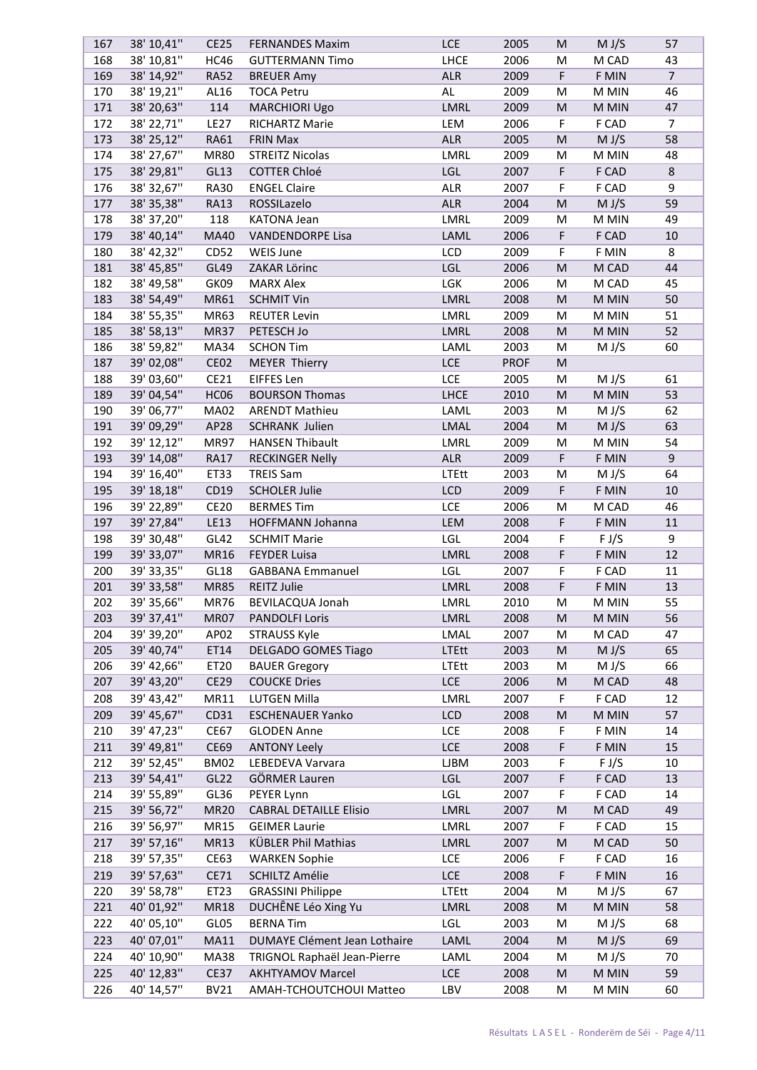| 167        | 38' 10,41"               | <b>CE25</b>                | <b>FERNANDES Maxim</b>                             | <b>LCE</b>        | 2005         | M         | M J/S          | 57             |
|------------|--------------------------|----------------------------|----------------------------------------------------|-------------------|--------------|-----------|----------------|----------------|
| 168        | 38' 10,81"               | <b>HC46</b>                | <b>GUTTERMANN Timo</b>                             | LHCE              | 2006         | M         | M CAD          | 43             |
| 169        | 38' 14,92"               | <b>RA52</b>                | <b>BREUER Amy</b>                                  | <b>ALR</b>        | 2009         | F         | F MIN          | $\overline{7}$ |
| 170        | 38' 19,21"               | AL16                       | <b>TOCA Petru</b>                                  | AL                | 2009         | M         | M MIN          | 46             |
| 171        | 38' 20,63"               | 114                        | <b>MARCHIORI Ugo</b>                               | <b>LMRL</b>       | 2009         | M         | M MIN          | 47             |
| 172        | 38' 22,71"               | <b>LE27</b>                | <b>RICHARTZ Marie</b>                              | LEM               | 2006         | F         | F CAD          | $\overline{7}$ |
| 173        | 38' 25,12"               | RA61                       | <b>FRIN Max</b>                                    | <b>ALR</b>        | 2005         | M         | M J/S          | 58             |
| 174        | 38' 27,67"               | <b>MR80</b>                | <b>STREITZ Nicolas</b>                             | LMRL              | 2009         | M         | M MIN          | 48             |
| 175        | 38' 29,81"               | GL13                       | <b>COTTER Chloé</b>                                | LGL               | 2007         | F         | F CAD          | $\,8\,$        |
| 176        | 38' 32,67"               | <b>RA30</b>                | <b>ENGEL Claire</b>                                | ALR               | 2007         | F         | F CAD          | 9              |
| 177        | 38' 35,38"               | <b>RA13</b>                | ROSSILazelo                                        | <b>ALR</b>        | 2004         | M         | M J/S          | 59             |
| 178        | 38' 37,20"               | 118                        | <b>KATONA Jean</b>                                 | LMRL              | 2009         | M         | $M$ MIN        | 49             |
| 179        | 38' 40,14"               | <b>MA40</b>                | <b>VANDENDORPE Lisa</b>                            | LAML              | 2006         | F         | F CAD          | 10             |
| 180        | 38' 42,32"               | CD52                       | WEIS June                                          | LCD               | 2009         | F         | F MIN          | 8              |
| 181        | 38' 45,85"               | GL49                       | ZAKAR Lörinc                                       | LGL               | 2006         | M         | M CAD          | 44             |
| 182        | 38' 49,58"               | GK09                       | <b>MARX Alex</b>                                   | LGK               | 2006         | M         | M CAD          | 45             |
| 183        | 38' 54,49"               | MR61                       | <b>SCHMIT Vin</b>                                  | LMRL              | 2008         | M         | M MIN          | 50             |
|            |                          |                            | <b>REUTER Levin</b>                                |                   |              |           |                | 51             |
| 184        | 38' 55,35"               | MR63                       |                                                    | LMRL              | 2009         | M         | M MIN          |                |
| 185        | 38' 58,13"               | <b>MR37</b>                | PETESCH Jo                                         | LMRL              | 2008         | M         | M MIN          | 52             |
| 186        | 38' 59,82"               | MA34                       | <b>SCHON Tim</b>                                   | LAML              | 2003         | M         | M J/S          | 60             |
| 187        | 39' 02,08"               | <b>CE02</b>                | <b>MEYER Thierry</b>                               | <b>LCE</b>        | <b>PROF</b>  | M         |                |                |
| 188        | 39' 03,60"               | CE21                       | EIFFES Len                                         | LCE               | 2005         | M         | M J/S          | 61             |
| 189        | 39' 04,54"               | HC06                       | <b>BOURSON Thomas</b>                              | LHCE              | 2010         | M         | M MIN          | 53             |
| 190        | 39' 06,77"               | <b>MA02</b>                | <b>ARENDT Mathieu</b>                              | LAML              | 2003         | M         | M J/S          | 62             |
| 191        | 39' 09,29"               | AP28                       | <b>SCHRANK Julien</b>                              | LMAL              | 2004         | ${\sf M}$ | M J/S          | 63             |
| 192        | 39' 12,12"               | <b>MR97</b>                | <b>HANSEN Thibault</b>                             | LMRL              | 2009         | M         | M MIN          | 54             |
| 193        | 39' 14,08"               | <b>RA17</b>                | <b>RECKINGER Nelly</b>                             | <b>ALR</b>        | 2009         | F         | F MIN          | 9              |
| 194        | 39' 16,40"               | ET33                       | <b>TREIS Sam</b>                                   | <b>LTEtt</b>      | 2003         | M         | M J/S          | 64             |
| 195        | 39' 18,18"               | CD19                       | <b>SCHOLER Julie</b>                               | LCD               | 2009         | F         | F MIN          | 10             |
| 196        | 39' 22,89"               | <b>CE20</b>                | <b>BERMES Tim</b>                                  | LCE               | 2006         | M         | M CAD          | 46             |
| 197        | 39' 27,84"               | LE13                       | HOFFMANN Johanna                                   | LEM               | 2008         | F         | F MIN          | 11             |
| 198        | 39' 30,48"               | GL42                       | <b>SCHMIT Marie</b>                                | LGL               | 2004         | F         | F J/S          | 9              |
| 199        | 39' 33,07"               | MR16                       | <b>FEYDER Luisa</b>                                | LMRL              | 2008         | F         | F MIN          | 12             |
| 200        | 39' 33,35"               | GL18                       | <b>GABBANA Emmanuel</b>                            | LGL               | 2007         | F         | F CAD          | 11             |
| 201        | 39' 33,58"               | <b>MR85</b>                | REITZ Julie                                        | LMRL              | 2008         | F         | F MIN          | 13             |
| 202        | 39' 35,66"               | <b>MR76</b>                | BEVILACQUA Jonah                                   | LMRL              | 2010         | M         | M MIN          | 55             |
| 203        | 39' 37,41"               | <b>MR07</b>                | <b>PANDOLFI Loris</b>                              | LMRL              | 2008         | M         | M MIN          | 56             |
| 204        | 39' 39,20"               | AP02                       | <b>STRAUSS Kyle</b>                                | LMAL              | 2007         | M         | M CAD          | 47             |
| 205        | 39' 40,74"               | ET14                       | <b>DELGADO GOMES Tiago</b>                         | <b>LTEtt</b>      | 2003         | M         | M J/S          | 65             |
| 206        | 39' 42,66"               | ET20                       | <b>BAUER Gregory</b>                               | <b>LTEtt</b>      | 2003         | M         | M J/S          | 66             |
| 207        | 39' 43,20"               | <b>CE29</b>                | <b>COUCKE Dries</b>                                | <b>LCE</b>        | 2006         | M         | M CAD          | 48             |
| 208        | 39' 43,42"               | MR11                       | LUTGEN Milla                                       | LMRL              | 2007         | F         | F CAD          | 12             |
| 209        | 39' 45,67"               | CD31                       | <b>ESCHENAUER Yanko</b>                            | LCD               | 2008         | M         | M MIN          | 57             |
| 210        | 39' 47,23"               | <b>CE67</b>                | <b>GLODEN Anne</b>                                 | LCE               | 2008         | F         | F MIN          | 14             |
| 211        | 39' 49,81"               | <b>CE69</b>                | <b>ANTONY Leely</b>                                | <b>LCE</b>        | 2008         | F         | F MIN          | 15             |
| 212        | 39' 52,45"               | <b>BM02</b>                | LEBEDEVA Varvara                                   | <b>LJBM</b>       | 2003         | F         | F J/S          | 10             |
| 213        | 39' 54,41"               | GL22                       | GÖRMER Lauren                                      | LGL               | 2007         | F         | F CAD          | 13             |
| 214        | 39' 55,89"               | GL36                       | PEYER Lynn                                         | LGL               | 2007         | F         | F CAD          | 14             |
| 215        | 39' 56,72"               | <b>MR20</b>                | <b>CABRAL DETAILLE Elisio</b>                      | LMRL              | 2007         | M         | M CAD          | 49             |
| 216        | 39' 56,97"               | MR15                       | <b>GEIMER Laurie</b>                               | LMRL              | 2007         | F         | F CAD          | 15             |
| 217        | 39' 57,16"               | MR13                       | KÜBLER Phil Mathias                                | LMRL              | 2007         | ${\sf M}$ | M CAD          | 50             |
|            |                          |                            |                                                    | LCE               |              |           |                | 16             |
| 218        | 39' 57,35"               | CE63                       | <b>WARKEN Sophie</b>                               |                   | 2006         | F         | F CAD          |                |
| 219        | 39' 57,63"               | CE71                       | <b>SCHILTZ Amélie</b>                              | LCE               | 2008         | F         | F MIN          | 16             |
| 220        | 39' 58,78"               | ET23                       | <b>GRASSINI Philippe</b>                           | <b>LTEtt</b>      | 2004         | M         | M J/S          | 67             |
| 221        | 40' 01,92"               | <b>MR18</b>                | DUCHÊNE Léo Xing Yu                                | LMRL              | 2008         | M         | M MIN          | 58             |
| 222        | 40' 05,10"               | GL05                       | <b>BERNA Tim</b>                                   | LGL               | 2003         | M         | M J/S          | 68             |
| 223        | 40' 07,01"               | MA11                       | DUMAYE Clément Jean Lothaire                       | LAML              | 2004         | M         | M J/S          | 69             |
| 224        | 40' 10,90"               | <b>MA38</b>                | TRIGNOL Raphaël Jean-Pierre                        | LAML              | 2004         | M         | M J/S          | 70             |
|            |                          |                            |                                                    |                   |              |           |                |                |
| 225<br>226 | 40' 12,83"<br>40' 14,57" | <b>CE37</b><br><b>BV21</b> | <b>AKHTYAMOV Marcel</b><br>AMAH-TCHOUTCHOUI Matteo | <b>LCE</b><br>LBV | 2008<br>2008 | M         | M MIN<br>M MIN | 59<br>60       |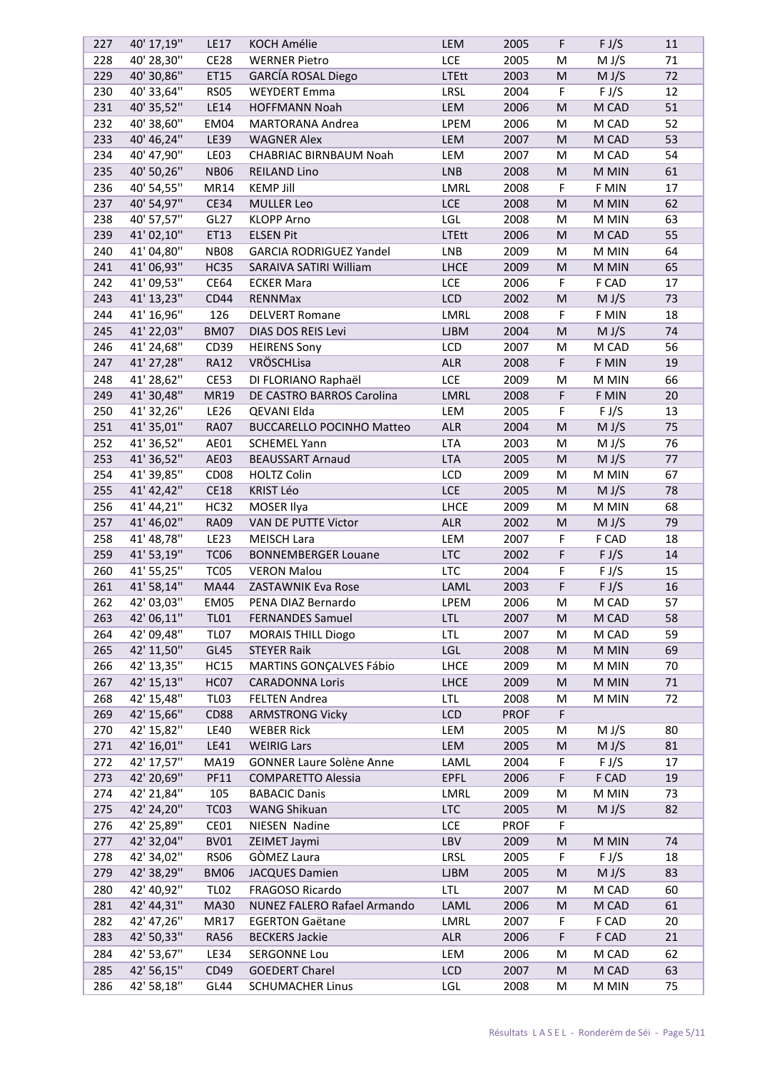| 227        | 40' 17,19"               | <b>LE17</b>      | <b>KOCH Amélie</b>               | LEM               | 2005                | F         | F J/S              | 11 |
|------------|--------------------------|------------------|----------------------------------|-------------------|---------------------|-----------|--------------------|----|
| 228        | 40' 28,30"               | <b>CE28</b>      | <b>WERNER Pietro</b>             | <b>LCE</b>        | 2005                | M         | M J/S              | 71 |
| 229        | 40' 30,86"               | ET15             | <b>GARCÍA ROSAL Diego</b>        | <b>LTEtt</b>      | 2003                | M         | M J/S              | 72 |
| 230        | 40' 33,64"               | <b>RS05</b>      | <b>WEYDERT Emma</b>              | LRSL              | 2004                | F         | $F J/\overline{S}$ | 12 |
| 231        | 40' 35,52"               | LE14             | <b>HOFFMANN Noah</b>             | LEM               | 2006                | ${\sf M}$ | M CAD              | 51 |
| 232        | 40' 38,60"               | EM04             | <b>MARTORANA Andrea</b>          | LPEM              | 2006                | M         | M CAD              | 52 |
| 233        | 40' 46,24"               | LE39             | <b>WAGNER Alex</b>               | LEM               | 2007                | M         | M CAD              | 53 |
| 234        | 40' 47,90"               | LE03             | CHABRIAC BIRNBAUM Noah           | LEM               | 2007                | M         | M CAD              | 54 |
| 235        | 40' 50,26"               | <b>NB06</b>      | <b>REILAND Lino</b>              | <b>LNB</b>        | 2008                | M         | M MIN              | 61 |
| 236        | 40' 54,55"               | MR14             | <b>KEMP Jill</b>                 | LMRL              | 2008                | F         | F MIN              | 17 |
| 237        | 40' 54,97"               | <b>CE34</b>      | <b>MULLER Leo</b>                | <b>LCE</b>        | 2008                | M         | M MIN              | 62 |
| 238        | 40' 57,57"               | GL27             | <b>KLOPP Arno</b>                | LGL               | 2008                | M         | M MIN              | 63 |
| 239        | 41'02,10"                | ET13             | <b>ELSEN Pit</b>                 | <b>LTEtt</b>      | 2006                | M         | M CAD              | 55 |
| 240        | 41'04,80"                | <b>NB08</b>      | <b>GARCIA RODRIGUEZ Yandel</b>   | <b>LNB</b>        | 2009                | M         | M MIN              | 64 |
| 241        | 41' 06,93"               | <b>HC35</b>      | SARAIVA SATIRI William           | <b>LHCE</b>       | 2009                | M         | M MIN              | 65 |
| 242        | 41' 09,53"               | CE64             | <b>ECKER Mara</b>                | LCE               | 2006                | F         | F CAD              | 17 |
|            | 41' 13,23"               |                  |                                  |                   |                     |           |                    |    |
| 243        |                          | CD44             | RENNMax                          | LCD               | 2002                | ${\sf M}$ | M J/S<br>F MIN     | 73 |
| 244        | 41' 16,96"               | 126              | <b>DELVERT Romane</b>            | LMRL              | 2008                | F         |                    | 18 |
| 245        | 41' 22,03"               | <b>BM07</b>      | DIAS DOS REIS Levi               | <b>LJBM</b>       | 2004                | M         | M J/S              | 74 |
| 246        | 41' 24,68"               | CD39             | <b>HEIRENS Sony</b>              | LCD               | 2007                | M         | M CAD              | 56 |
| 247        | 41' 27,28"               | <b>RA12</b>      | VRÖSCHLisa                       | <b>ALR</b>        | 2008                | F         | F MIN              | 19 |
| 248        | 41' 28,62"               | <b>CE53</b>      | DI FLORIANO Raphaël              | <b>LCE</b>        | 2009                | M         | M MIN              | 66 |
| 249        | 41' 30,48"               | MR19             | DE CASTRO BARROS Carolina        | LMRL              | 2008                | F         | F MIN              | 20 |
| 250        | 41' 32,26"               | <b>LE26</b>      | QEVANI Elda                      | LEM               | 2005                | F         | F J/S              | 13 |
| 251        | 41' 35,01"               | <b>RA07</b>      | <b>BUCCARELLO POCINHO Matteo</b> | <b>ALR</b>        | 2004                | ${\sf M}$ | M J/S              | 75 |
| 252        | 41' 36,52"               | AE01             | <b>SCHEMEL Yann</b>              | <b>LTA</b>        | 2003                | M         | M J/S              | 76 |
| 253        | 41' 36,52"               | AE03             | <b>BEAUSSART Arnaud</b>          | <b>LTA</b>        | 2005                | M         | M J/S              | 77 |
| 254        | 41' 39,85"               | CD <sub>08</sub> | <b>HOLTZ Colin</b>               | LCD               | 2009                | M         | M MIN              | 67 |
| 255        | 41' 42,42"               | <b>CE18</b>      | <b>KRIST Léo</b>                 | <b>LCE</b>        | 2005                | M         | M J/S              | 78 |
| 256        | 41' 44,21"               | <b>HC32</b>      | MOSER Ilya                       | <b>LHCE</b>       | 2009                | M         | M MIN              | 68 |
| 257        | 41' 46,02"               | <b>RA09</b>      | VAN DE PUTTE Victor              | <b>ALR</b>        | 2002                | M         | M J/S              | 79 |
| 258        | 41' 48,78"               | <b>LE23</b>      | <b>MEISCH Lara</b>               | LEM               | 2007                | F         | F CAD              | 18 |
| 259        | 41' 53,19"               | <b>TC06</b>      | <b>BONNEMBERGER Louane</b>       | <b>LTC</b>        | 2002                | F         | F J/S              | 14 |
| 260        | 41' 55,25"               | TC <sub>05</sub> | <b>VERON Malou</b>               | <b>LTC</b>        | 2004                | F         | F J/S              | 15 |
| 261        | 41' 58,14"               | <b>MA44</b>      | ZASTAWNIK Eva Rose               | LAML              | 2003                | F         | F J/S              | 16 |
| 262        | 42' 03,03"               | <b>EM05</b>      | PENA DIAZ Bernardo               | LPEM              | 2006                | M         | M CAD              | 57 |
| 263        | 42' 06,11"               | <b>TL01</b>      | <b>FERNANDES Samuel</b>          | <b>LTL</b>        | 2007                | M         | M CAD              | 58 |
| 264        | 42' 09,48"               | <b>TL07</b>      | <b>MORAIS THILL Diogo</b>        | <b>LTL</b>        | 2007                | M         | M CAD              | 59 |
| 265        | 42' 11,50"               | GL45             | <b>STEYER Raik</b>               | LGL               | 2008                | M         | M MIN              | 69 |
| 266        | 42' 13,35"               | <b>HC15</b>      | MARTINS GONÇALVES Fábio          | <b>LHCE</b>       | 2009                | M         | M MIN              | 70 |
| 267        | 42' 15,13"               | HC07             | <b>CARADONNA Loris</b>           | <b>LHCE</b>       | 2009                | M         | M MIN              | 71 |
| 268        | 42' 15,48"               | <b>TL03</b>      | <b>FELTEN Andrea</b>             | <b>LTL</b>        | 2008                | M         | M MIN              | 72 |
| 269        | 42' 15,66"               | CD88             | <b>ARMSTRONG Vicky</b>           | LCD               | <b>PROF</b>         | F         |                    |    |
| 270        | 42' 15,82"               | <b>LE40</b>      | <b>WEBER Rick</b>                | LEM               | 2005                | M         | M J/S              | 80 |
| 271        | 42' 16,01"               | LE41             | <b>WEIRIG Lars</b>               | LEM               | 2005                | M         | M J/S              | 81 |
| 272        | 42' 17,57"               | MA19             | <b>GONNER Laure Solène Anne</b>  | LAML              | 2004                | F         | F J/S              | 17 |
| 273        | 42' 20,69"               | <b>PF11</b>      | <b>COMPARETTO Alessia</b>        | <b>EPFL</b>       | 2006                | F         | F CAD              | 19 |
| 274        | 42' 21,84"               | 105              | <b>BABACIC Danis</b>             | LMRL              | 2009                | M         | M MIN              | 73 |
|            |                          |                  |                                  |                   |                     |           |                    |    |
| 275<br>276 | 42' 24,20"<br>42' 25,89" | <b>TC03</b>      | WANG Shikuan                     | <b>LTC</b><br>LCE | 2005<br><b>PROF</b> | M<br>F    | M J/S              | 82 |
|            |                          | CE01             | NIESEN Nadine                    |                   |                     |           |                    |    |
| 277        | 42' 32,04"               | <b>BV01</b>      | ZEIMET Jaymi                     | LBV               | 2009                | M         | M MIN              | 74 |
| 278        | 42' 34,02"               | <b>RS06</b>      | GÒMEZ Laura                      | LRSL              | 2005                | F         | F J/S              | 18 |
| 279        | 42' 38,29"               | <b>BM06</b>      | <b>JACQUES Damien</b>            | <b>LJBM</b>       | 2005                | M         | M J/S              | 83 |
| 280        | 42' 40,92"               | <b>TL02</b>      | FRAGOSO Ricardo                  | <b>LTL</b>        | 2007                | M         | M CAD              | 60 |
| 281        | 42' 44,31"               | <b>MA30</b>      | NUNEZ FALERO Rafael Armando      | LAML              | 2006                | M         | M CAD              | 61 |
| 282        | 42' 47,26"               | MR17             | <b>EGERTON Gaëtane</b>           | LMRL              | 2007                | F         | F CAD              | 20 |
| 283        | 42' 50,33"               | <b>RA56</b>      | <b>BECKERS Jackie</b>            | ALR               | 2006                | F         | F CAD              | 21 |
| 284        | 42' 53,67"               | <b>LE34</b>      | SERGONNE Lou                     | LEM               | 2006                | M         | M CAD              | 62 |
| 285        | 42' 56,15"               | CD49             | <b>GOEDERT Charel</b>            | <b>LCD</b>        | 2007                | M         | M CAD              | 63 |
| 286        | 42' 58,18"               | GL44             | <b>SCHUMACHER Linus</b>          | LGL               | 2008                | M         | M MIN              | 75 |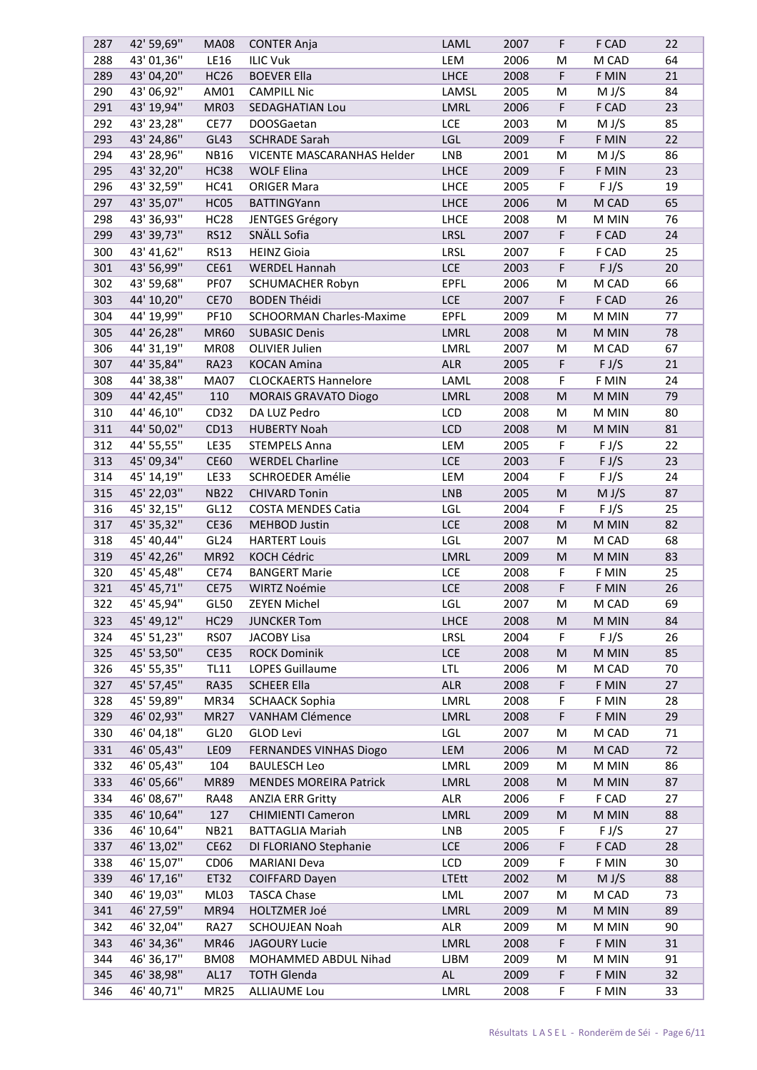| 287 | 42' 59,69" | <b>MA08</b>      | <b>CONTER Anja</b>              | LAML         | 2007 | F         | F CAD | 22 |
|-----|------------|------------------|---------------------------------|--------------|------|-----------|-------|----|
| 288 | 43' 01,36" | <b>LE16</b>      | <b>ILIC Vuk</b>                 | LEM          | 2006 | M         | M CAD | 64 |
| 289 | 43' 04,20" | <b>HC26</b>      | <b>BOEVER Ella</b>              | <b>LHCE</b>  | 2008 | F         | F MIN | 21 |
| 290 | 43' 06,92" | AM01             | <b>CAMPILL Nic</b>              | LAMSL        | 2005 | M         | M J/S | 84 |
| 291 | 43' 19,94" | MR03             | SEDAGHATIAN Lou                 | LMRL         | 2006 | F         | F CAD | 23 |
| 292 | 43' 23,28" | <b>CE77</b>      | <b>DOOSGaetan</b>               | LCE          | 2003 | M         | M J/S | 85 |
| 293 | 43' 24,86" | GL43             | <b>SCHRADE Sarah</b>            | LGL          | 2009 | F         | F MIN | 22 |
| 294 | 43' 28,96" | <b>NB16</b>      | VICENTE MASCARANHAS Helder      | <b>LNB</b>   | 2001 | M         | M J/S | 86 |
| 295 | 43' 32,20" | <b>HC38</b>      | <b>WOLF Elina</b>               | LHCE         | 2009 | F         | F MIN | 23 |
| 296 | 43' 32,59" | <b>HC41</b>      | <b>ORIGER Mara</b>              | <b>LHCE</b>  | 2005 | F         | F J/S | 19 |
| 297 | 43' 35,07" | HC05             | <b>BATTINGYann</b>              | <b>LHCE</b>  | 2006 | M         | M CAD | 65 |
| 298 | 43' 36,93" | HC <sub>28</sub> | JENTGES Grégory                 | <b>LHCE</b>  | 2008 | M         | M MIN | 76 |
| 299 | 43' 39,73" | <b>RS12</b>      | SNÄLL Sofia                     | LRSL         | 2007 | F         | F CAD | 24 |
|     |            |                  |                                 |              |      |           |       |    |
| 300 | 43' 41,62" | <b>RS13</b>      | <b>HEINZ Gioia</b>              | LRSL         | 2007 | F         | F CAD | 25 |
| 301 | 43' 56,99" | CE61             | <b>WERDEL Hannah</b>            | <b>LCE</b>   | 2003 | F         | F J/S | 20 |
| 302 | 43' 59,68" | PF07             | SCHUMACHER Robyn                | <b>EPFL</b>  | 2006 | M         | M CAD | 66 |
| 303 | 44' 10,20" | <b>CE70</b>      | <b>BODEN Théidi</b>             | <b>LCE</b>   | 2007 | F         | F CAD | 26 |
| 304 | 44' 19,99" | <b>PF10</b>      | <b>SCHOORMAN Charles-Maxime</b> | <b>EPFL</b>  | 2009 | M         | M MIN | 77 |
| 305 | 44' 26,28" | <b>MR60</b>      | <b>SUBASIC Denis</b>            | LMRL         | 2008 | M         | M MIN | 78 |
| 306 | 44' 31,19" | <b>MR08</b>      | OLIVIER Julien                  | LMRL         | 2007 | M         | M CAD | 67 |
| 307 | 44' 35,84" | <b>RA23</b>      | <b>KOCAN Amina</b>              | <b>ALR</b>   | 2005 | F         | F J/S | 21 |
| 308 | 44' 38,38" | <b>MA07</b>      | <b>CLOCKAERTS Hannelore</b>     | LAML         | 2008 | F         | F MIN | 24 |
| 309 | 44' 42,45" | 110              | <b>MORAIS GRAVATO Diogo</b>     | LMRL         | 2008 | M         | M MIN | 79 |
| 310 | 44' 46,10" | CD32             | DA LUZ Pedro                    | LCD          | 2008 | M         | M MIN | 80 |
| 311 | 44' 50,02" | CD13             | <b>HUBERTY Noah</b>             | <b>LCD</b>   | 2008 | M         | M MIN | 81 |
| 312 | 44' 55,55" | <b>LE35</b>      | <b>STEMPELS Anna</b>            | LEM          | 2005 | F         | F J/S | 22 |
| 313 | 45' 09,34" | <b>CE60</b>      | <b>WERDEL Charline</b>          | <b>LCE</b>   | 2003 | F         | F J/S | 23 |
| 314 | 45' 14,19" | <b>LE33</b>      | SCHROEDER Amélie                | LEM          | 2004 | F         | F J/S | 24 |
| 315 | 45' 22,03" | <b>NB22</b>      | <b>CHIVARD Tonin</b>            | <b>LNB</b>   | 2005 | ${\sf M}$ | M J/S | 87 |
| 316 | 45' 32,15" | GL12             | <b>COSTA MENDES Catia</b>       | LGL          | 2004 | F         | F J/S | 25 |
| 317 | 45' 35,32" | CE36             | <b>MEHBOD Justin</b>            | <b>LCE</b>   | 2008 | M         | M MIN | 82 |
| 318 | 45' 40,44" | GL <sub>24</sub> | <b>HARTERT Louis</b>            | LGL          | 2007 | M         | M CAD | 68 |
| 319 | 45' 42,26" | <b>MR92</b>      | KOCH Cédric                     | LMRL         | 2009 | ${\sf M}$ | M MIN | 83 |
| 320 | 45' 45,48" | <b>CE74</b>      | <b>BANGERT Marie</b>            | LCE          | 2008 | F         | F MIN | 25 |
| 321 | 45' 45,71" | <b>CE75</b>      | WIRTZ Noémie                    | <b>LCE</b>   | 2008 | F         | F MIN | 26 |
| 322 | 45' 45,94" | GL50             | <b>ZEYEN Michel</b>             | LGL          | 2007 | м         |       | 69 |
|     |            |                  |                                 |              |      |           | M CAD |    |
| 323 | 45' 49,12" | <b>HC29</b>      | <b>JUNCKER Tom</b>              | <b>LHCE</b>  | 2008 | M         | M MIN | 84 |
| 324 | 45' 51,23" | <b>RS07</b>      | JACOBY Lisa                     | <b>LRSL</b>  | 2004 | F         | F J/S | 26 |
| 325 | 45' 53,50" | <b>CE35</b>      | <b>ROCK Dominik</b>             | <b>LCE</b>   | 2008 | M         | M MIN | 85 |
| 326 | 45' 55,35" | <b>TL11</b>      | LOPES Guillaume                 | <b>LTL</b>   | 2006 | М         | M CAD | 70 |
| 327 | 45' 57,45" | <b>RA35</b>      | <b>SCHEER Ella</b>              | <b>ALR</b>   | 2008 | F         | F MIN | 27 |
| 328 | 45' 59,89" | MR34             | <b>SCHAACK Sophia</b>           | LMRL         | 2008 | F         | F MIN | 28 |
| 329 | 46' 02,93" | MR <sub>27</sub> | VANHAM Clémence                 | LMRL         | 2008 | F         | F MIN | 29 |
| 330 | 46' 04,18" | GL20             | GLOD Levi                       | LGL          | 2007 | M         | M CAD | 71 |
| 331 | 46' 05,43" | <b>LE09</b>      | FERNANDES VINHAS Diogo          | LEM          | 2006 | M         | M CAD | 72 |
| 332 | 46' 05,43" | 104              | <b>BAULESCH Leo</b>             | LMRL         | 2009 | M         | M MIN | 86 |
| 333 | 46' 05,66" | <b>MR89</b>      | <b>MENDES MOREIRA Patrick</b>   | LMRL         | 2008 | M         | M MIN | 87 |
| 334 | 46' 08,67" | <b>RA48</b>      | <b>ANZIA ERR Gritty</b>         | ALR          | 2006 | F         | F CAD | 27 |
| 335 | 46' 10,64" | 127              | <b>CHIMIENTI Cameron</b>        | LMRL         | 2009 | M         | M MIN | 88 |
| 336 | 46' 10,64" | <b>NB21</b>      | <b>BATTAGLIA Mariah</b>         | LNB          | 2005 | F         | F J/S | 27 |
| 337 | 46' 13,02" | <b>CE62</b>      | DI FLORIANO Stephanie           | <b>LCE</b>   | 2006 | F         | F CAD | 28 |
| 338 | 46' 15,07" | CD <sub>06</sub> | <b>MARIANI Deva</b>             | LCD          | 2009 | F         | F MIN | 30 |
| 339 | 46' 17,16" | ET32             | <b>COIFFARD Dayen</b>           | <b>LTEtt</b> | 2002 | M         | M J/S | 88 |
| 340 | 46' 19,03" | ML03             | <b>TASCA Chase</b>              | LML          | 2007 | M         | M CAD | 73 |
| 341 | 46' 27,59" | <b>MR94</b>      | HOLTZMER Joé                    | LMRL         | 2009 | M         | M MIN | 89 |
| 342 | 46' 32,04" | <b>RA27</b>      |                                 | ALR          | 2009 |           | M MIN | 90 |
|     |            |                  | <b>SCHOUJEAN Noah</b>           |              |      | M         |       |    |
| 343 | 46' 34,36" | <b>MR46</b>      | <b>JAGOURY Lucie</b>            | LMRL         | 2008 | F         | F MIN | 31 |
| 344 | 46' 36,17" | <b>BM08</b>      | MOHAMMED ABDUL Nihad            | <b>LJBM</b>  | 2009 | M         | M MIN | 91 |
| 345 | 46' 38,98" | AL17             | <b>TOTH Glenda</b>              | AL           | 2009 | F         | F MIN | 32 |
| 346 | 46' 40,71" | <b>MR25</b>      | <b>ALLIAUME Lou</b>             | LMRL         | 2008 | F         | F MIN | 33 |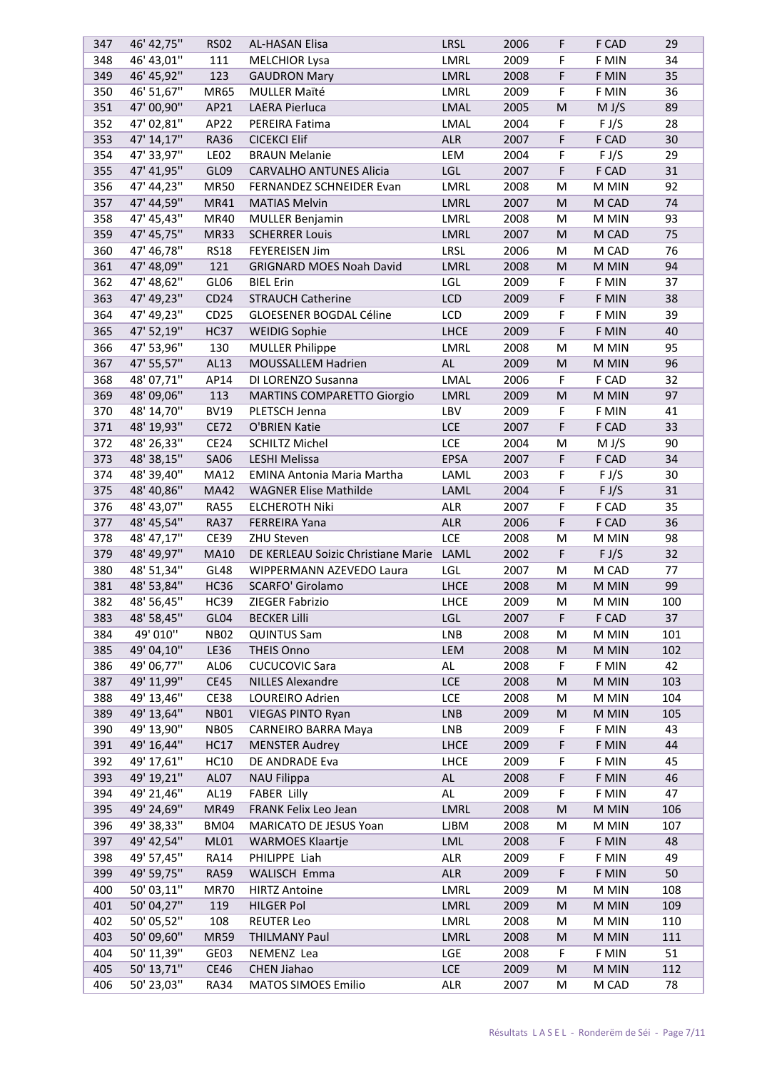| 347 | 46' 42,75"  | <b>RS02</b>      | <b>AL-HASAN Elisa</b>                   | <b>LRSL</b>   | 2006 | F         | F CAD | 29  |
|-----|-------------|------------------|-----------------------------------------|---------------|------|-----------|-------|-----|
| 348 | 46' 43,01"  | 111              | <b>MELCHIOR Lysa</b>                    | LMRL          | 2009 | F         | F MIN | 34  |
| 349 | 46' 45,92"  | 123              | <b>GAUDRON Mary</b>                     | LMRL          | 2008 | F         | F MIN | 35  |
| 350 | 46' 51,67"  | <b>MR65</b>      | <b>MULLER Maïté</b>                     | LMRL          | 2009 | F         | F MIN | 36  |
| 351 | 47' 00,90"  | AP21             | LAERA Pierluca                          | LMAL          | 2005 | ${\sf M}$ | M J/S | 89  |
| 352 | 47' 02,81"  | AP22             | PEREIRA Fatima                          | LMAL          | 2004 | F         | F J/S | 28  |
| 353 | 47' 14,17"  | <b>RA36</b>      | <b>CICEKCI Elif</b>                     | <b>ALR</b>    | 2007 | F         | F CAD | 30  |
| 354 | 47' 33,97"  | LE <sub>02</sub> | <b>BRAUN Melanie</b>                    | LEM           | 2004 | F         | F J/S | 29  |
| 355 | 47' 41,95"  | GL09             | <b>CARVALHO ANTUNES Alicia</b>          | LGL           | 2007 | F         | F CAD | 31  |
| 356 | 47' 44,23"  | <b>MR50</b>      | FERNANDEZ SCHNEIDER Evan                | LMRL          | 2008 | M         | M MIN | 92  |
| 357 | 47' 44,59"  | MR41             | <b>MATIAS Melvin</b>                    | LMRL          | 2007 | M         | M CAD | 74  |
| 358 | 47' 45,43"  | <b>MR40</b>      | <b>MULLER Benjamin</b>                  | LMRL          | 2008 | M         | M MIN | 93  |
| 359 | 47' 45,75"  | <b>MR33</b>      |                                         | LMRL          | 2007 | M         | M CAD | 75  |
| 360 | 47' 46,78"  | <b>RS18</b>      | <b>SCHERRER Louis</b>                   | LRSL          | 2006 | M         | M CAD | 76  |
|     |             |                  | FEYEREISEN Jim                          |               |      |           |       |     |
| 361 | 47' 48,09"  | 121              | <b>GRIGNARD MOES Noah David</b>         | LMRL          | 2008 | M         | M MIN | 94  |
| 362 | 47' 48,62"  | GL06             | <b>BIEL Erin</b>                        | LGL           | 2009 | F         | F MIN | 37  |
| 363 | 47' 49,23"  | CD24             | <b>STRAUCH Catherine</b>                | LCD           | 2009 | F         | F MIN | 38  |
| 364 | 47' 49,23"  | CD <sub>25</sub> | GLOESENER BOGDAL Céline                 | <b>LCD</b>    | 2009 | F         | F MIN | 39  |
| 365 | 47' 52,19"  | <b>HC37</b>      | <b>WEIDIG Sophie</b>                    | <b>LHCE</b>   | 2009 | F         | F MIN | 40  |
| 366 | 47' 53,96"  | 130              | <b>MULLER Philippe</b>                  | LMRL          | 2008 | M         | M MIN | 95  |
| 367 | 47' 55,57"  | AL13             | MOUSSALLEM Hadrien                      | <b>AL</b>     | 2009 | M         | M MIN | 96  |
| 368 | 48' 07,71"  | AP14             | DI LORENZO Susanna                      | LMAL          | 2006 | F         | F CAD | 32  |
| 369 | 48' 09,06"  | 113              | <b>MARTINS COMPARETTO Giorgio</b>       | LMRL          | 2009 | M         | M MIN | 97  |
| 370 | 48' 14,70"  | <b>BV19</b>      | PLETSCH Jenna                           | LBV           | 2009 | F         | F MIN | 41  |
| 371 | 48' 19,93"  | <b>CE72</b>      | O'BRIEN Katie                           | <b>LCE</b>    | 2007 | F         | F CAD | 33  |
| 372 | 48' 26,33"  | CE <sub>24</sub> | <b>SCHILTZ Michel</b>                   | LCE           | 2004 | M         | M J/S | 90  |
| 373 | 48' 38, 15" | SA06             | <b>LESHI Melissa</b>                    | <b>EPSA</b>   | 2007 | F         | F CAD | 34  |
| 374 | 48' 39,40"  | MA12             | <b>EMINA Antonia Maria Martha</b>       | LAML          | 2003 | F         | F J/S | 30  |
| 375 | 48' 40,86"  | <b>MA42</b>      | <b>WAGNER Elise Mathilde</b>            | LAML          | 2004 | F         | F J/S | 31  |
| 376 | 48' 43,07"  | <b>RA55</b>      | <b>ELCHEROTH Niki</b>                   | ALR           | 2007 | F         | F CAD | 35  |
| 377 | 48' 45,54"  | <b>RA37</b>      | <b>FERREIRA Yana</b>                    | <b>ALR</b>    | 2006 | F         | F CAD | 36  |
| 378 | 48' 47,17"  | <b>CE39</b>      | ZHU Steven                              | LCE           | 2008 | M         | M MIN | 98  |
| 379 | 48' 49,97"  | <b>MA10</b>      | DE KERLEAU Soizic Christiane Marie LAML |               | 2002 | F         | F J/S | 32  |
| 380 | 48' 51,34"  | GL48             | WIPPERMANN AZEVEDO Laura                | LGL           | 2007 | M         | M CAD | 77  |
| 381 | 48' 53,84"  | <b>HC36</b>      | <b>SCARFO' Girolamo</b>                 | LHCE          | 2008 | M         | M MIN | 99  |
| 382 | 48' 56, 45" | <b>HC39</b>      | ZIEGER Fabrizio                         | <b>LHCE</b>   | 2009 | M         | M MIN | 100 |
| 383 | 48' 58,45"  | GL04             | <b>BECKER Lilli</b>                     | LGL           | 2007 | F         | F CAD | 37  |
|     | 49' 010"    |                  |                                         |               |      |           |       |     |
| 384 |             | <b>NB02</b>      | <b>QUINTUS Sam</b>                      | LNB           | 2008 | M         | M MIN | 101 |
| 385 | 49' 04,10"  | LE36             | <b>THEIS Onno</b>                       | LEM           | 2008 | M         | M MIN | 102 |
| 386 | 49' 06,77"  | AL06             | <b>CUCUCOVIC Sara</b>                   | AL            | 2008 | F         | F MIN | 42  |
| 387 | 49' 11,99"  | <b>CE45</b>      | <b>NILLES Alexandre</b>                 | <b>LCE</b>    | 2008 | ${\sf M}$ | M MIN | 103 |
| 388 | 49' 13,46"  | <b>CE38</b>      | LOUREIRO Adrien                         | LCE           | 2008 | M         | M MIN | 104 |
| 389 | 49' 13,64"  | <b>NB01</b>      | <b>VIEGAS PINTO Ryan</b>                | <b>LNB</b>    | 2009 | M         | M MIN | 105 |
| 390 | 49' 13,90"  | <b>NB05</b>      | <b>CARNEIRO BARRA Maya</b>              | <b>LNB</b>    | 2009 | F         | F MIN | 43  |
| 391 | 49' 16,44"  | <b>HC17</b>      | <b>MENSTER Audrey</b>                   | LHCE          | 2009 | F         | F MIN | 44  |
| 392 | 49' 17,61"  | <b>HC10</b>      | DE ANDRADE Eva                          | LHCE          | 2009 | F         | F MIN | 45  |
| 393 | 49' 19,21"  | AL <sub>07</sub> | <b>NAU Filippa</b>                      | $\mathsf{AL}$ | 2008 | F         | F MIN | 46  |
| 394 | 49' 21,46"  | AL19             | <b>FABER Lilly</b>                      | AL            | 2009 | F         | F MIN | 47  |
| 395 | 49' 24,69"  | <b>MR49</b>      | FRANK Felix Leo Jean                    | LMRL          | 2008 | M         | M MIN | 106 |
| 396 | 49' 38,33"  | BM04             | MARICATO DE JESUS Yoan                  | <b>LJBM</b>   | 2008 | M         | M MIN | 107 |
| 397 | 49' 42,54"  | ML01             | <b>WARMOES Klaartje</b>                 | LML           | 2008 | F         | F MIN | 48  |
| 398 | 49' 57,45"  | <b>RA14</b>      | PHILIPPE Liah                           | <b>ALR</b>    | 2009 | F         | F MIN | 49  |
| 399 | 49' 59,75"  | <b>RA59</b>      | WALISCH Emma                            | <b>ALR</b>    | 2009 | F         | F MIN | 50  |
| 400 | 50' 03,11"  | <b>MR70</b>      | <b>HIRTZ Antoine</b>                    | LMRL          | 2009 | M         | M MIN | 108 |
| 401 | 50' 04,27"  | 119              | <b>HILGER Pol</b>                       | LMRL          | 2009 | ${\sf M}$ | M MIN | 109 |
| 402 | 50' 05,52"  | 108              | <b>REUTER Leo</b>                       | LMRL          | 2008 | M         | M MIN | 110 |
| 403 | 50' 09,60"  | <b>MR59</b>      | <b>THILMANY Paul</b>                    | LMRL          | 2008 | M         | M MIN | 111 |
| 404 | 50' 11,39"  | GE03             | NEMENZ Lea                              | LGE           | 2008 | F         | F MIN | 51  |
| 405 | 50' 13,71"  | <b>CE46</b>      | CHEN Jiahao                             | LCE           | 2009 | ${\sf M}$ | M MIN | 112 |
| 406 | 50' 23,03"  | <b>RA34</b>      | <b>MATOS SIMOES Emilio</b>              | ALR           | 2007 | M         | M CAD | 78  |
|     |             |                  |                                         |               |      |           |       |     |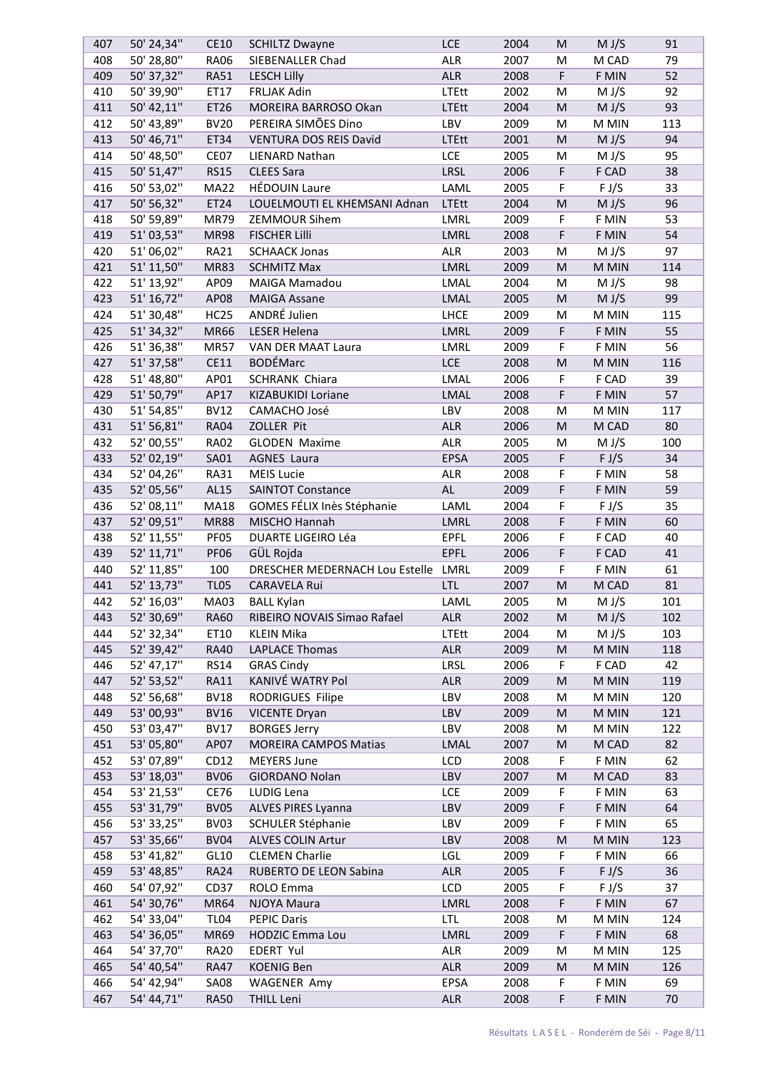| 407 | 50' 24,34"               | CE10             | <b>SCHILTZ Dwayne</b>               | <b>LCE</b>   | 2004 | M                                                                                                          | M J/S | 91  |
|-----|--------------------------|------------------|-------------------------------------|--------------|------|------------------------------------------------------------------------------------------------------------|-------|-----|
| 408 | 50' 28,80"               | <b>RA06</b>      | SIEBENALLER Chad                    | ALR          | 2007 | M                                                                                                          | M CAD | 79  |
| 409 | 50' 37,32"               | <b>RA51</b>      | <b>LESCH Lilly</b>                  | <b>ALR</b>   | 2008 | F                                                                                                          | F MIN | 52  |
| 410 | 50' 39,90"               | ET17             | <b>FRLJAK Adin</b>                  | LTEtt        | 2002 | M                                                                                                          | M J/S | 92  |
| 411 | 50' 42,11"               | ET26             | MOREIRA BARROSO Okan                | <b>LTEtt</b> | 2004 | M                                                                                                          | M J/S | 93  |
| 412 | 50' 43,89"               | <b>BV20</b>      | PEREIRA SIMÕES Dino                 | LBV          | 2009 | M                                                                                                          | M MIN | 113 |
| 413 | 50' 46,71"               | ET34             | <b>VENTURA DOS REIS David</b>       | <b>LTEtt</b> | 2001 | M                                                                                                          | M J/S | 94  |
| 414 | 50' 48,50"               | CE07             | <b>LIENARD Nathan</b>               | <b>LCE</b>   | 2005 | M                                                                                                          | M J/S | 95  |
| 415 | 50' 51,47"               | <b>RS15</b>      | <b>CLEES Sara</b>                   | LRSL         | 2006 | F                                                                                                          | F CAD | 38  |
| 416 | 50' 53,02"               | <b>MA22</b>      | <b>HÉDOUIN Laure</b>                | LAML         | 2005 | F                                                                                                          | F J/S | 33  |
| 417 | 50' 56,32"               | ET24             | LOUELMOUTI EL KHEMSANI Adnan        | <b>LTEtt</b> | 2004 | M                                                                                                          | M J/S | 96  |
| 418 | 50' 59,89"               | <b>MR79</b>      | <b>ZEMMOUR Sihem</b>                | <b>LMRL</b>  | 2009 | F                                                                                                          | F MIN | 53  |
| 419 | 51'03,53"                | <b>MR98</b>      | <b>FISCHER Lilli</b>                | LMRL         | 2008 | F                                                                                                          | F MIN | 54  |
| 420 | 51'06,02"                | <b>RA21</b>      | <b>SCHAACK Jonas</b>                | <b>ALR</b>   | 2003 | M                                                                                                          | M J/S | 97  |
| 421 | 51' 11,50"               | <b>MR83</b>      | <b>SCHMITZ Max</b>                  | LMRL         | 2009 | M                                                                                                          | M MIN | 114 |
| 422 | 51' 13,92"               | AP09             | <b>MAIGA Mamadou</b>                | LMAL         | 2004 | M                                                                                                          | M J/S | 98  |
|     | 51' 16,72"               |                  |                                     |              | 2005 |                                                                                                            |       | 99  |
| 423 |                          | AP08             | <b>MAIGA Assane</b><br>ANDRÉ Julien | LMAL         |      | M                                                                                                          | M J/S |     |
| 424 | 51' 30,48"               | <b>HC25</b>      |                                     | <b>LHCE</b>  | 2009 | M                                                                                                          | M MIN | 115 |
| 425 | 51' 34,32"               | <b>MR66</b>      | <b>LESER Helena</b>                 | LMRL         | 2009 | F                                                                                                          | F MIN | 55  |
| 426 | 51' 36,38"               | <b>MR57</b>      | VAN DER MAAT Laura                  | LMRL         | 2009 | F                                                                                                          | F MIN | 56  |
| 427 | 51' 37,58"               | CE11             | <b>BODÉMarc</b>                     | <b>LCE</b>   | 2008 | ${\sf M}$                                                                                                  | M MIN | 116 |
| 428 | 51' 48,80"               | AP01             | <b>SCHRANK Chiara</b>               | LMAL         | 2006 | F                                                                                                          | F CAD | 39  |
| 429 | 51' 50,79"               | AP17             | KIZABUKIDI Loriane                  | <b>LMAL</b>  | 2008 | F                                                                                                          | F MIN | 57  |
| 430 | 51' 54,85"               | <b>BV12</b>      | CAMACHO José                        | LBV          | 2008 | M                                                                                                          | M MIN | 117 |
| 431 | 51' 56,81"               | <b>RA04</b>      | ZOLLER Pit                          | <b>ALR</b>   | 2006 | M                                                                                                          | M CAD | 80  |
| 432 | 52' 00,55"               | <b>RA02</b>      | <b>GLODEN Maxime</b>                | <b>ALR</b>   | 2005 | M                                                                                                          | M J/S | 100 |
| 433 | 52' 02,19"               | SA01             | <b>AGNES Laura</b>                  | EPSA         | 2005 | F                                                                                                          | F J/S | 34  |
| 434 | 52' 04,26"               | <b>RA31</b>      | <b>MEIS Lucie</b>                   | <b>ALR</b>   | 2008 | F                                                                                                          | F MIN | 58  |
| 435 | 52' 05,56"               | AL15             | <b>SAINTOT Constance</b>            | AL           | 2009 | F                                                                                                          | F MIN | 59  |
| 436 | 52' 08,11"               | <b>MA18</b>      | GOMES FÉLIX Inès Stéphanie          | LAML         | 2004 | F                                                                                                          | F J/S | 35  |
| 437 | 52' 09,51"               | <b>MR88</b>      | MISCHO Hannah                       | LMRL         | 2008 | F                                                                                                          | F MIN | 60  |
| 438 | 52' 11,55"               | PF05             | DUARTE LIGEIRO Léa                  | <b>EPFL</b>  | 2006 | F                                                                                                          | F CAD | 40  |
| 439 | 52' 11,71"               | <b>PF06</b>      | GÜL Rojda                           | <b>EPFL</b>  | 2006 | F                                                                                                          | F CAD | 41  |
| 440 | 52' 11,85"               | 100              | DRESCHER MEDERNACH Lou Estelle LMRL |              | 2009 | F                                                                                                          | F MIN | 61  |
| 441 | 52' 13,73"               | <b>TL05</b>      | <b>CARAVELA Rui</b>                 | <b>LTL</b>   | 2007 | $\mathsf{M}% _{T}=\mathsf{M}_{T}\!\left( a,b\right) ,\ \mathsf{M}_{T}=\mathsf{M}_{T}\!\left( a,b\right) ,$ | M CAD | 81  |
| 442 | 52' 16,03"               | MA03             | <b>BALL Kylan</b>                   | LAML         | 2005 | M                                                                                                          | M J/S | 101 |
| 443 | 52' 30,69"               | <b>RA60</b>      | RIBEIRO NOVAIS Simao Rafael         | <b>ALR</b>   | 2002 | M                                                                                                          | M J/S | 102 |
| 444 | 52' 32,34"               | ET10             | <b>KLEIN Mika</b>                   | <b>LTEtt</b> | 2004 | M                                                                                                          | M J/S | 103 |
| 445 | 52' 39,42"               | <b>RA40</b>      | <b>LAPLACE Thomas</b>               | ALR          | 2009 | M                                                                                                          | M MIN | 118 |
| 446 | 52' 47,17"               | <b>RS14</b>      | <b>GRAS Cindy</b>                   | LRSL         | 2006 | F                                                                                                          | F CAD | 42  |
| 447 | 52' 53,52"               | <b>RA11</b>      | KANIVÉ WATRY Pol                    | <b>ALR</b>   | 2009 | M                                                                                                          | M MIN | 119 |
| 448 | 52' 56,68"               | <b>BV18</b>      | RODRIGUES Filipe                    | LBV          | 2008 | M                                                                                                          | M MIN | 120 |
| 449 | 53' 00,93"               | <b>BV16</b>      | <b>VICENTE Dryan</b>                | LBV          | 2009 | ${\sf M}$                                                                                                  | M MIN | 121 |
| 450 | 53' 03,47"               | <b>BV17</b>      | <b>BORGES Jerry</b>                 | LBV          | 2008 | M                                                                                                          | M MIN | 122 |
| 451 | 53' 05,80"               | AP07             | <b>MOREIRA CAMPOS Matias</b>        | LMAL         | 2007 | M                                                                                                          | M CAD | 82  |
| 452 | 53' 07,89"               | CD <sub>12</sub> | <b>MEYERS June</b>                  | LCD          | 2008 | F                                                                                                          | F MIN | 62  |
| 453 | 53' 18,03"               | <b>BV06</b>      | <b>GIORDANO Nolan</b>               | LBV          | 2007 | M                                                                                                          | M CAD | 83  |
| 454 | 53' 21,53"               | CE76             | LUDIG Lena                          | LCE          | 2009 | F                                                                                                          | F MIN | 63  |
| 455 | 53' 31,79"               | <b>BV05</b>      | ALVES PIRES Lyanna                  | LBV          | 2009 | F                                                                                                          | F MIN | 64  |
| 456 | 53' 33,25"               | BV03             | SCHULER Stéphanie                   | LBV          | 2009 | F                                                                                                          | F MIN | 65  |
| 457 | 53' 35,66"               | <b>BV04</b>      | ALVES COLIN Artur                   | LBV          | 2008 | M                                                                                                          | M MIN | 123 |
| 458 | 53' 41,82"               | GL10             | <b>CLEMEN Charlie</b>               | LGL          | 2009 | F                                                                                                          | F MIN | 66  |
| 459 | 53' 48,85"               | <b>RA24</b>      | RUBERTO DE LEON Sabina              | <b>ALR</b>   | 2005 | F                                                                                                          | F J/S | 36  |
| 460 | 54' 07,92"               | CD37             | ROLO Emma                           | LCD          | 2005 | F                                                                                                          | F J/S | 37  |
| 461 | 54' 30,76"               | <b>MR64</b>      | NJOYA Maura                         | LMRL         | 2008 | F                                                                                                          | F MIN | 67  |
| 462 | 54' 33,04"               | <b>TL04</b>      | <b>PEPIC Daris</b>                  | <b>LTL</b>   | 2008 |                                                                                                            | M MIN |     |
|     |                          |                  |                                     |              |      | M                                                                                                          |       | 124 |
| 463 | 54' 36,05"               | <b>MR69</b>      | HODZIC Emma Lou                     | LMRL         | 2009 | F                                                                                                          | F MIN | 68  |
| 464 | 54' 37,70"<br>54' 40,54" | <b>RA20</b>      | EDERT Yul                           | <b>ALR</b>   | 2009 | M                                                                                                          | M MIN | 125 |
| 465 |                          | <b>RA47</b>      | <b>KOENIG Ben</b>                   | <b>ALR</b>   | 2009 | M                                                                                                          | M MIN | 126 |
| 466 | 54' 42,94"               | <b>SA08</b>      | <b>WAGENER Amy</b>                  | EPSA         | 2008 | F                                                                                                          | F MIN | 69  |
| 467 | 54' 44,71"               | <b>RA50</b>      | <b>THILL Leni</b>                   | ALR          | 2008 | F                                                                                                          | F MIN | 70  |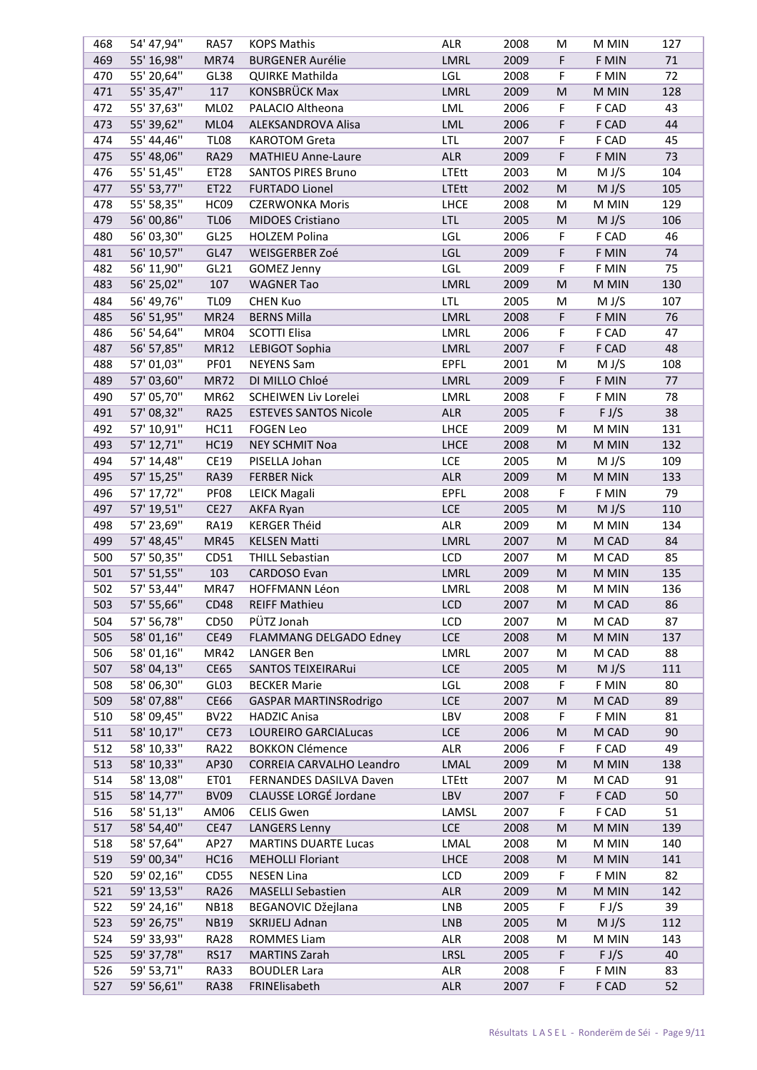| 468 | 54' 47,94" | <b>RA57</b>      | <b>KOPS Mathis</b>           | ALR          | 2008 | М         | M MIN | 127 |
|-----|------------|------------------|------------------------------|--------------|------|-----------|-------|-----|
| 469 | 55' 16,98" | <b>MR74</b>      | <b>BURGENER Aurélie</b>      | LMRL         | 2009 | F         | F MIN | 71  |
| 470 | 55' 20,64" | GL38             | QUIRKE Mathilda              | LGL          | 2008 | F         | F MIN | 72  |
| 471 | 55' 35,47" | 117              | KONSBRÜCK Max                | LMRL         | 2009 | ${\sf M}$ | M MIN | 128 |
| 472 | 55' 37,63" | <b>ML02</b>      | PALACIO Altheona             | LML          | 2006 | F         | F CAD | 43  |
| 473 | 55' 39,62" | ML04             | ALEKSANDROVA Alisa           | LML          | 2006 | F         | F CAD | 44  |
| 474 | 55' 44,46" | <b>TL08</b>      | <b>KAROTOM Greta</b>         | <b>LTL</b>   | 2007 | F         | F CAD | 45  |
|     |            |                  |                              |              |      |           |       |     |
| 475 | 55' 48,06" | <b>RA29</b>      | <b>MATHIEU Anne-Laure</b>    | <b>ALR</b>   | 2009 | F         | F MIN | 73  |
| 476 | 55' 51,45" | ET28             | <b>SANTOS PIRES Bruno</b>    | LTEtt        | 2003 | M         | M J/S | 104 |
| 477 | 55' 53,77" | ET22             | <b>FURTADO Lionel</b>        | <b>LTEtt</b> | 2002 | M         | M J/S | 105 |
| 478 | 55' 58,35" | HC <sub>09</sub> | <b>CZERWONKA Moris</b>       | <b>LHCE</b>  | 2008 | M         | M MIN | 129 |
| 479 | 56' 00,86" | <b>TL06</b>      | <b>MIDOES Cristiano</b>      | <b>LTL</b>   | 2005 | M         | M J/S | 106 |
| 480 | 56' 03,30" | GL <sub>25</sub> | <b>HOLZEM Polina</b>         | LGL          | 2006 | F         | F CAD | 46  |
| 481 | 56' 10,57" | GL47             | WEISGERBER Zoé               | LGL          | 2009 | F         | F MIN | 74  |
| 482 | 56' 11,90" | GL21             | <b>GOMEZ Jenny</b>           | LGL          | 2009 | F         | F MIN | 75  |
| 483 | 56' 25,02" | 107              | <b>WAGNER Tao</b>            | LMRL         | 2009 | M         | M MIN | 130 |
|     | 56' 49,76" |                  |                              |              |      |           | M J/S |     |
| 484 |            | <b>TL09</b>      | <b>CHEN Kuo</b>              | <b>LTL</b>   | 2005 | M         |       | 107 |
| 485 | 56' 51,95" | MR <sub>24</sub> | <b>BERNS Milla</b>           | LMRL         | 2008 | F         | F MIN | 76  |
| 486 | 56' 54,64" | MR04             | <b>SCOTTI Elisa</b>          | LMRL         | 2006 | F         | F CAD | 47  |
| 487 | 56' 57,85" | <b>MR12</b>      | LEBIGOT Sophia               | LMRL         | 2007 | F         | F CAD | 48  |
| 488 | 57' 01,03" | PF01             | <b>NEYENS Sam</b>            | <b>EPFL</b>  | 2001 | M         | M J/S | 108 |
| 489 | 57' 03,60" | <b>MR72</b>      | DI MILLO Chloé               | LMRL         | 2009 | F         | F MIN | 77  |
| 490 | 57' 05,70" | MR62             | SCHEIWEN Liv Lorelei         | LMRL         | 2008 | F         | F MIN | 78  |
| 491 | 57' 08,32" | <b>RA25</b>      | <b>ESTEVES SANTOS Nicole</b> | <b>ALR</b>   | 2005 | F         | F J/S | 38  |
| 492 | 57' 10,91" | HC11             | <b>FOGEN Leo</b>             | <b>LHCE</b>  | 2009 | M         | M MIN | 131 |
| 493 | 57' 12,71" | <b>HC19</b>      | <b>NEY SCHMIT Noa</b>        | <b>LHCE</b>  | 2008 | M         | M MIN | 132 |
|     | 57' 14,48" |                  |                              |              |      |           | M J/S |     |
| 494 |            | CE19             | PISELLA Johan                | LCE          | 2005 | M         |       | 109 |
| 495 | 57' 15,25" | <b>RA39</b>      | <b>FERBER Nick</b>           | <b>ALR</b>   | 2009 | M         | M MIN | 133 |
| 496 | 57' 17,72" | PF08             | <b>LEICK Magali</b>          | <b>EPFL</b>  | 2008 | F         | F MIN | 79  |
| 497 | 57' 19,51" | <b>CE27</b>      | <b>AKFA Ryan</b>             | <b>LCE</b>   | 2005 | M         | M J/S | 110 |
| 498 | 57' 23,69" | <b>RA19</b>      | <b>KERGER Théid</b>          | <b>ALR</b>   | 2009 | M         | M MIN | 134 |
| 499 | 57' 48,45" | <b>MR45</b>      | <b>KELSEN Matti</b>          | LMRL         | 2007 | M         | M CAD | 84  |
| 500 | 57' 50,35" | CD51             | <b>THILL Sebastian</b>       | LCD          | 2007 | M         | M CAD | 85  |
| 501 | 57' 51,55" | 103              | <b>CARDOSO Evan</b>          | LMRL         | 2009 | M         | M MIN | 135 |
| 502 | 57' 53,44" | <b>MR47</b>      | <b>HOFFMANN Léon</b>         | LMRL         | 2008 | M         | M MIN | 136 |
| 503 | 57' 55,66" | <b>CD48</b>      | <b>REIFF Mathieu</b>         | LCD          | 2007 | M         | M CAD | 86  |
| 504 | 57' 56,78" | CD <sub>50</sub> | PÜTZ Jonah                   | LCD          | 2007 | M         | M CAD | 87  |
| 505 | 58'01,16"  | <b>CE49</b>      | FLAMMANG DELGADO Edney       | <b>LCE</b>   | 2008 | M         | M MIN | 137 |
|     |            |                  |                              |              |      |           |       |     |
| 506 | 58'01,16"  | MR42             | <b>LANGER Ben</b>            | LMRL         | 2007 | M         | M CAD | 88  |
| 507 | 58' 04,13" | <b>CE65</b>      | SANTOS TEIXEIRARui           | LCE          | 2005 | M         | M J/S | 111 |
| 508 | 58' 06,30" | GL03             | <b>BECKER Marie</b>          | LGL          | 2008 | F         | F MIN | 80  |
| 509 | 58'07,88"  | <b>CE66</b>      | <b>GASPAR MARTINSRodrigo</b> | <b>LCE</b>   | 2007 | M         | M CAD | 89  |
| 510 | 58' 09,45" | <b>BV22</b>      | <b>HADZIC Anisa</b>          | LBV          | 2008 | F         | F MIN | 81  |
| 511 | 58' 10,17" | <b>CE73</b>      | <b>LOUREIRO GARCIALucas</b>  | <b>LCE</b>   | 2006 | M         | M CAD | 90  |
| 512 | 58' 10,33" | <b>RA22</b>      | <b>BOKKON Clémence</b>       | ALR          | 2006 | F         | F CAD | 49  |
| 513 | 58' 10,33" | AP30             | CORREIA CARVALHO Leandro     | LMAL         | 2009 | M         | M MIN | 138 |
| 514 | 58' 13,08" | ET01             | FERNANDES DASILVA Daven      | <b>LTEtt</b> | 2007 | M         | M CAD | 91  |
| 515 | 58' 14,77" | <b>BV09</b>      | CLAUSSE LORGÉ Jordane        | LBV          | 2007 | F         | F CAD | 50  |
| 516 | 58' 51,13" | AM06             | <b>CELIS Gwen</b>            | LAMSL        | 2007 | F         | F CAD | 51  |
| 517 | 58' 54,40" | <b>CE47</b>      | <b>LANGERS Lenny</b>         | <b>LCE</b>   | 2008 | ${\sf M}$ | M MIN | 139 |
|     |            |                  |                              |              |      |           |       |     |
| 518 | 58' 57,64" | AP27             | <b>MARTINS DUARTE Lucas</b>  | LMAL         | 2008 | M         | M MIN | 140 |
| 519 | 59' 00,34" | <b>HC16</b>      | <b>MEHOLLI Floriant</b>      | <b>LHCE</b>  | 2008 | M         | M MIN | 141 |
| 520 | 59' 02,16" | CD55             | <b>NESEN Lina</b>            | LCD          | 2009 | F         | F MIN | 82  |
| 521 | 59' 13,53" | <b>RA26</b>      | <b>MASELLI Sebastien</b>     | ALR          | 2009 | M         | M MIN | 142 |
| 522 | 59' 24,16" | <b>NB18</b>      | BEGANOVIC Džejlana           | LNB          | 2005 | F         | F J/S | 39  |
| 523 | 59' 26,75" | <b>NB19</b>      | SKRIJELJ Adnan               | <b>LNB</b>   | 2005 | ${\sf M}$ | M J/S | 112 |
| 524 | 59' 33,93" | <b>RA28</b>      | ROMMES Liam                  | <b>ALR</b>   | 2008 | M         | M MIN | 143 |
| 525 | 59' 37,78" | <b>RS17</b>      | <b>MARTINS Zarah</b>         | LRSL         | 2005 | F         | F J/S | 40  |
| 526 | 59' 53,71" | <b>RA33</b>      | <b>BOUDLER Lara</b>          | ALR          | 2008 | F         | F MIN | 83  |
| 527 | 59' 56,61" | <b>RA38</b>      | FRINElisabeth                | <b>ALR</b>   | 2007 | F         | F CAD | 52  |
|     |            |                  |                              |              |      |           |       |     |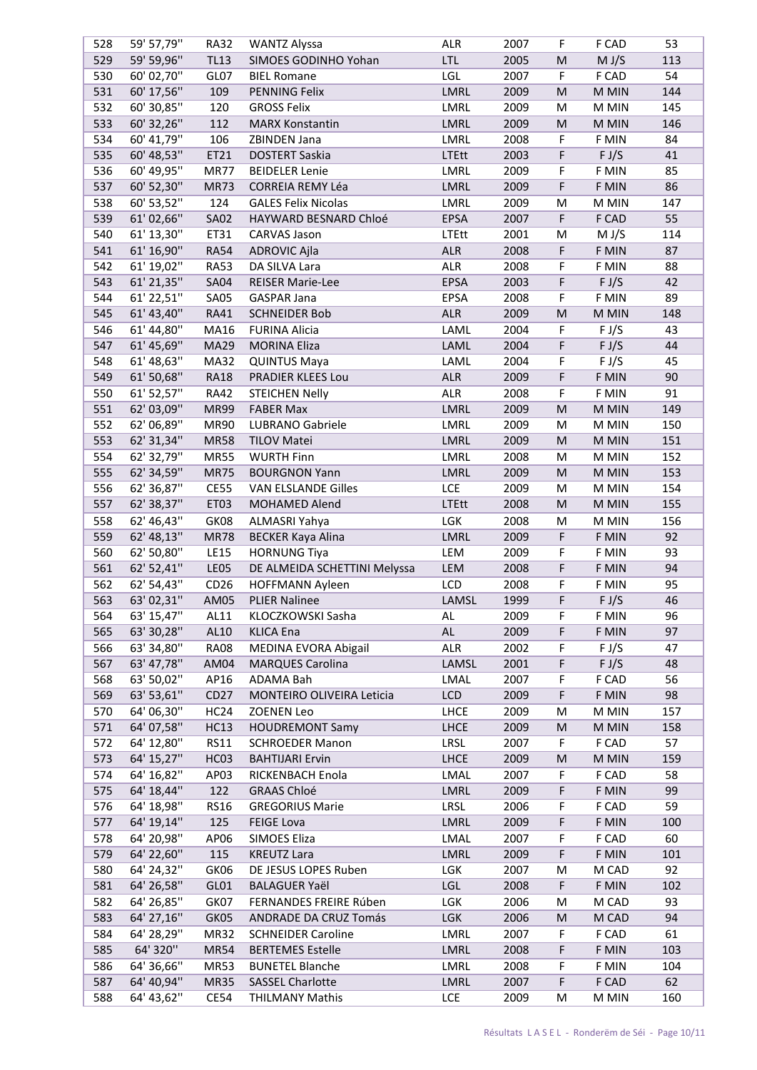| 528 | 59' 57,79" | <b>RA32</b>      | <b>WANTZ Alyssa</b>          | ALR           | 2007 | F                                                                                                          | F CAD | 53  |
|-----|------------|------------------|------------------------------|---------------|------|------------------------------------------------------------------------------------------------------------|-------|-----|
| 529 | 59' 59,96" | <b>TL13</b>      | SIMOES GODINHO Yohan         | <b>LTL</b>    | 2005 | ${\sf M}$                                                                                                  | M J/S | 113 |
| 530 | 60' 02,70" | GL07             | <b>BIEL Romane</b>           | LGL           | 2007 | F                                                                                                          | F CAD | 54  |
| 531 | 60' 17,56" | 109              | <b>PENNING Felix</b>         | LMRL          | 2009 | M                                                                                                          | M MIN | 144 |
| 532 | 60' 30,85" | 120              | <b>GROSS Felix</b>           | LMRL          | 2009 | M                                                                                                          | M MIN | 145 |
| 533 | 60' 32,26" | 112              | <b>MARX Konstantin</b>       | LMRL          | 2009 | M                                                                                                          | M MIN | 146 |
| 534 | 60' 41,79" | 106              | ZBINDEN Jana                 | LMRL          | 2008 | F                                                                                                          | F MIN | 84  |
| 535 | 60' 48,53" | ET21             | <b>DOSTERT Saskia</b>        | <b>LTEtt</b>  | 2003 | F                                                                                                          | F J/S | 41  |
| 536 | 60' 49,95" | <b>MR77</b>      | <b>BEIDELER Lenie</b>        | LMRL          | 2009 | F                                                                                                          | F MIN | 85  |
| 537 | 60' 52,30" | <b>MR73</b>      | CORREIA REMY Léa             | LMRL          | 2009 | F                                                                                                          | F MIN | 86  |
| 538 | 60' 53,52" | 124              | <b>GALES Felix Nicolas</b>   | LMRL          | 2009 | M                                                                                                          | M MIN | 147 |
|     |            |                  |                              |               |      |                                                                                                            |       |     |
| 539 | 61'02,66"  | <b>SA02</b>      | HAYWARD BESNARD Chloé        | EPSA          | 2007 | F                                                                                                          | F CAD | 55  |
| 540 | 61' 13,30" | ET31             | <b>CARVAS Jason</b>          | <b>LTEtt</b>  | 2001 | M                                                                                                          | M J/S | 114 |
| 541 | 61' 16,90" | <b>RA54</b>      | <b>ADROVIC Ajla</b>          | <b>ALR</b>    | 2008 | F                                                                                                          | F MIN | 87  |
| 542 | 61' 19,02" | <b>RA53</b>      | DA SILVA Lara                | <b>ALR</b>    | 2008 | F                                                                                                          | F MIN | 88  |
| 543 | 61' 21,35" | <b>SA04</b>      | <b>REISER Marie-Lee</b>      | EPSA          | 2003 | F                                                                                                          | F J/S | 42  |
| 544 | 61' 22,51" | <b>SA05</b>      | <b>GASPAR Jana</b>           | EPSA          | 2008 | F                                                                                                          | F MIN | 89  |
| 545 | 61' 43,40" | <b>RA41</b>      | <b>SCHNEIDER Bob</b>         | <b>ALR</b>    | 2009 | M                                                                                                          | M MIN | 148 |
| 546 | 61' 44,80" | MA16             | <b>FURINA Alicia</b>         | LAML          | 2004 | F                                                                                                          | F J/S | 43  |
| 547 | 61' 45,69" | <b>MA29</b>      | <b>MORINA Eliza</b>          | LAML          | 2004 | F                                                                                                          | F J/S | 44  |
| 548 | 61' 48,63" | <b>MA32</b>      | <b>QUINTUS Maya</b>          | LAML          | 2004 | F                                                                                                          | F J/S | 45  |
| 549 | 61' 50,68" | <b>RA18</b>      | PRADIER KLEES Lou            | <b>ALR</b>    | 2009 | F                                                                                                          | F MIN | 90  |
| 550 | 61' 52,57" | <b>RA42</b>      | <b>STEICHEN Nelly</b>        | <b>ALR</b>    | 2008 | F                                                                                                          | F MIN | 91  |
| 551 | 62' 03,09" | <b>MR99</b>      | <b>FABER Max</b>             | LMRL          | 2009 | $\mathsf{M}% _{T}=\mathsf{M}_{T}\!\left( a,b\right) ,\ \mathsf{M}_{T}=\mathsf{M}_{T}\!\left( a,b\right) ,$ | M MIN | 149 |
| 552 | 62' 06,89" | <b>MR90</b>      | LUBRANO Gabriele             | LMRL          | 2009 | M                                                                                                          | M MIN | 150 |
| 553 | 62' 31,34" | <b>MR58</b>      | <b>TILOV Matei</b>           | LMRL          | 2009 | ${\sf M}$                                                                                                  | M MIN | 151 |
| 554 | 62' 32,79" | <b>MR55</b>      | <b>WURTH Finn</b>            | LMRL          | 2008 | M                                                                                                          | M MIN | 152 |
| 555 | 62' 34,59" | <b>MR75</b>      | <b>BOURGNON Yann</b>         | LMRL          | 2009 | ${\sf M}$                                                                                                  | M MIN | 153 |
| 556 | 62' 36,87" | <b>CE55</b>      | <b>VAN ELSLANDE Gilles</b>   | LCE           | 2009 | M                                                                                                          | M MIN | 154 |
| 557 | 62' 38,37" | ET03             | MOHAMED Alend                | <b>LTEtt</b>  | 2008 | M                                                                                                          | M MIN | 155 |
| 558 | 62' 46,43" | GK08             | ALMASRI Yahya                | <b>LGK</b>    | 2008 | M                                                                                                          | M MIN | 156 |
| 559 | 62' 48,13" | <b>MR78</b>      | <b>BECKER Kaya Alina</b>     | LMRL          | 2009 | F                                                                                                          | F MIN | 92  |
| 560 | 62' 50,80" | <b>LE15</b>      | <b>HORNUNG Tiya</b>          | LEM           | 2009 | F                                                                                                          | F MIN | 93  |
|     |            |                  |                              |               |      |                                                                                                            |       |     |
| 561 | 62' 52,41" | LE05             | DE ALMEIDA SCHETTINI Melyssa | LEM           | 2008 | F                                                                                                          | F MIN | 94  |
| 562 | 62' 54,43" | CD <sub>26</sub> | <b>HOFFMANN Ayleen</b>       | LCD           | 2008 | F                                                                                                          | F MIN | 95  |
| 563 | 63' 02,31" | AM05             | <b>PLIER Nalinee</b>         | LAMSL         | 1999 | F                                                                                                          | F J/S | 46  |
| 564 | 63' 15,47" | AL11             | KLOCZKOWSKI Sasha            | AL            | 2009 | F                                                                                                          | F MIN | 96  |
| 565 | 63' 30,28" | AL10             | <b>KLICA Ena</b>             | $\mathsf{AL}$ | 2009 | F                                                                                                          | F MIN | 97  |
| 566 | 63' 34,80" | <b>RA08</b>      | MEDINA EVORA Abigail         | ALR           | 2002 | F                                                                                                          | F J/S | 47  |
| 567 | 63' 47,78" | AM04             | <b>MARQUES Carolina</b>      | LAMSL         | 2001 | F                                                                                                          | F J/S | 48  |
| 568 | 63' 50,02" | AP16             | ADAMA Bah                    | LMAL          | 2007 | F                                                                                                          | F CAD | 56  |
| 569 | 63' 53,61" | CD <sub>27</sub> | MONTEIRO OLIVEIRA Leticia    | LCD           | 2009 | F                                                                                                          | F MIN | 98  |
| 570 | 64' 06,30" | HC <sub>24</sub> | <b>ZOENEN Leo</b>            | <b>LHCE</b>   | 2009 | M                                                                                                          | M MIN | 157 |
| 571 | 64' 07,58" | <b>HC13</b>      | <b>HOUDREMONT Samy</b>       | <b>LHCE</b>   | 2009 | M                                                                                                          | M MIN | 158 |
| 572 | 64' 12,80" | <b>RS11</b>      | <b>SCHROEDER Manon</b>       | LRSL          | 2007 | F                                                                                                          | F CAD | 57  |
| 573 | 64' 15,27" | HC03             | <b>BAHTIJARI Ervin</b>       | <b>LHCE</b>   | 2009 | M                                                                                                          | M MIN | 159 |
| 574 | 64' 16,82" | AP03             | RICKENBACH Enola             | LMAL          | 2007 | F                                                                                                          | F CAD | 58  |
| 575 | 64' 18,44" | 122              | <b>GRAAS Chloé</b>           | LMRL          | 2009 | F                                                                                                          | F MIN | 99  |
| 576 | 64' 18,98" | <b>RS16</b>      | <b>GREGORIUS Marie</b>       | LRSL          | 2006 | F                                                                                                          | F CAD | 59  |
| 577 | 64' 19,14" | 125              | <b>FEIGE Lova</b>            | LMRL          | 2009 | F                                                                                                          | F MIN | 100 |
| 578 | 64' 20,98" | AP06             | SIMOES Eliza                 | LMAL          | 2007 | F                                                                                                          | F CAD | 60  |
| 579 | 64' 22,60" | 115              | <b>KREUTZ Lara</b>           | LMRL          | 2009 | F                                                                                                          | F MIN | 101 |
| 580 | 64' 24,32" | GK06             | DE JESUS LOPES Ruben         | LGK           | 2007 | M                                                                                                          | M CAD | 92  |
|     |            |                  |                              |               |      |                                                                                                            |       |     |
| 581 | 64' 26,58" | GL01             | <b>BALAGUER Yaël</b>         | LGL           | 2008 | F                                                                                                          | F MIN | 102 |
| 582 | 64' 26,85" | GK07             | FERNANDES FREIRE Rúben       | LGK           | 2006 | M                                                                                                          | M CAD | 93  |
| 583 | 64' 27,16" | GK05             | ANDRADE DA CRUZ Tomás        | <b>LGK</b>    | 2006 | M                                                                                                          | M CAD | 94  |
| 584 | 64' 28,29" | <b>MR32</b>      | <b>SCHNEIDER Caroline</b>    | LMRL          | 2007 | F                                                                                                          | F CAD | 61  |
| 585 | 64' 320"   | <b>MR54</b>      | <b>BERTEMES Estelle</b>      | LMRL          | 2008 | F                                                                                                          | F MIN | 103 |
| 586 | 64' 36,66" | <b>MR53</b>      | <b>BUNETEL Blanche</b>       | LMRL          | 2008 | F                                                                                                          | F MIN | 104 |
| 587 | 64' 40,94" | <b>MR35</b>      | <b>SASSEL Charlotte</b>      | LMRL          | 2007 | F                                                                                                          | F CAD | 62  |
| 588 | 64' 43,62" | <b>CE54</b>      | <b>THILMANY Mathis</b>       | LCE           | 2009 | M                                                                                                          | M MIN | 160 |